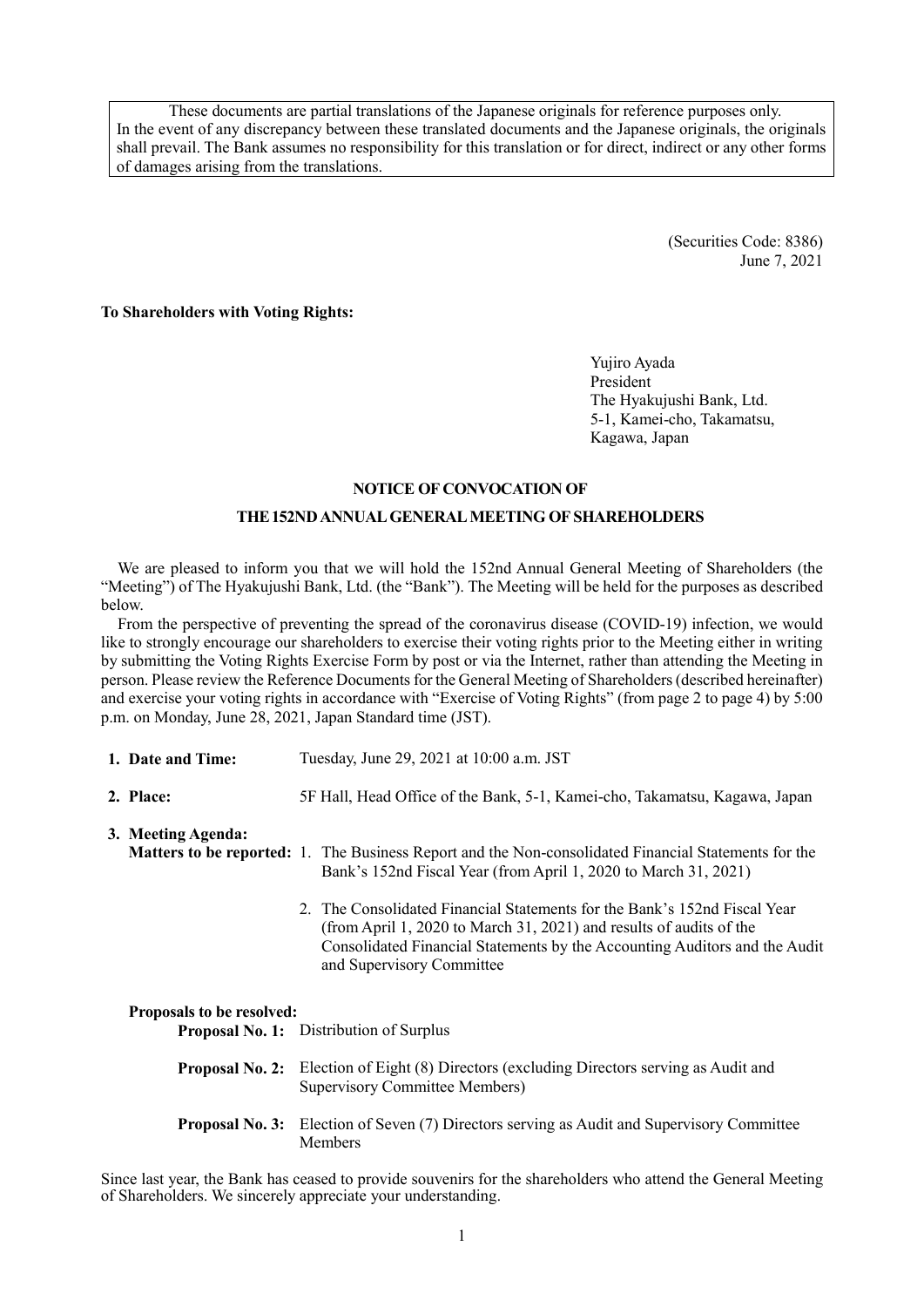These documents are partial translations of the Japanese originals for reference purposes only. In the event of any discrepancy between these translated documents and the Japanese originals, the originals shall prevail. The Bank assumes no responsibility for this translation or for direct, indirect or any other forms of damages arising from the translations.

> (Securities Code: 8386) June 7, 2021

**To Shareholders with Voting Rights:**

Yujiro Ayada President The Hyakujushi Bank, Ltd. 5-1, Kamei-cho, Takamatsu, Kagawa, Japan

#### **NOTICE OF CONVOCATION OF**

#### **THE152NDANNUAL GENERAL MEETING OF SHAREHOLDERS**

We are pleased to inform you that we will hold the 152nd Annual General Meeting of Shareholders (the "Meeting") of The Hyakujushi Bank, Ltd. (the "Bank"). The Meeting will be held for the purposes as described below.

From the perspective of preventing the spread of the coronavirus disease (COVID-19) infection, we would like to strongly encourage our shareholders to exercise their voting rights prior to the Meeting either in writing by submitting the Voting Rights Exercise Form by post or via the Internet, rather than attending the Meeting in person. Please review the Reference Documents for the General Meeting of Shareholders (described hereinafter) and exercise your voting rights in accordance with "Exercise of Voting Rights" (from page 2 to page 4) by 5:00 p.m. on Monday, June 28, 2021, Japan Standard time (JST).

| 1. Date and Time: | Tuesday, June 29, 2021 at 10:00 a.m. JST |
|-------------------|------------------------------------------|
|                   |                                          |

**2. Place:** 5F Hall, Head Office of the Bank, 5-1, Kamei-cho, Takamatsu, Kagawa, Japan

**3. Meeting Agenda:**

- **Matters to be reported:** 1. The Business Report and the Non-consolidated Financial Statements for the Bank's 152nd Fiscal Year (from April 1, 2020 to March 31, 2021)
	- 2. The Consolidated Financial Statements for the Bank's 152nd Fiscal Year (from April 1, 2020 to March 31, 2021) and results of audits of the Consolidated Financial Statements by the Accounting Auditors and the Audit and Supervisory Committee

#### **Proposals to be resolved:**

| <b>Proposal No. 1:</b> Distribution of Surplus                                                                                     |
|------------------------------------------------------------------------------------------------------------------------------------|
| <b>Proposal No. 2:</b> Election of Eight (8) Directors (excluding Directors serving as Audit and<br>Supervisory Committee Members) |
| <b>Proposal No. 3:</b> Election of Seven (7) Directors serving as Audit and Supervisory Committee<br><b>Members</b>                |

Since last year, the Bank has ceased to provide souvenirs for the shareholders who attend the General Meeting of Shareholders. We sincerely appreciate your understanding.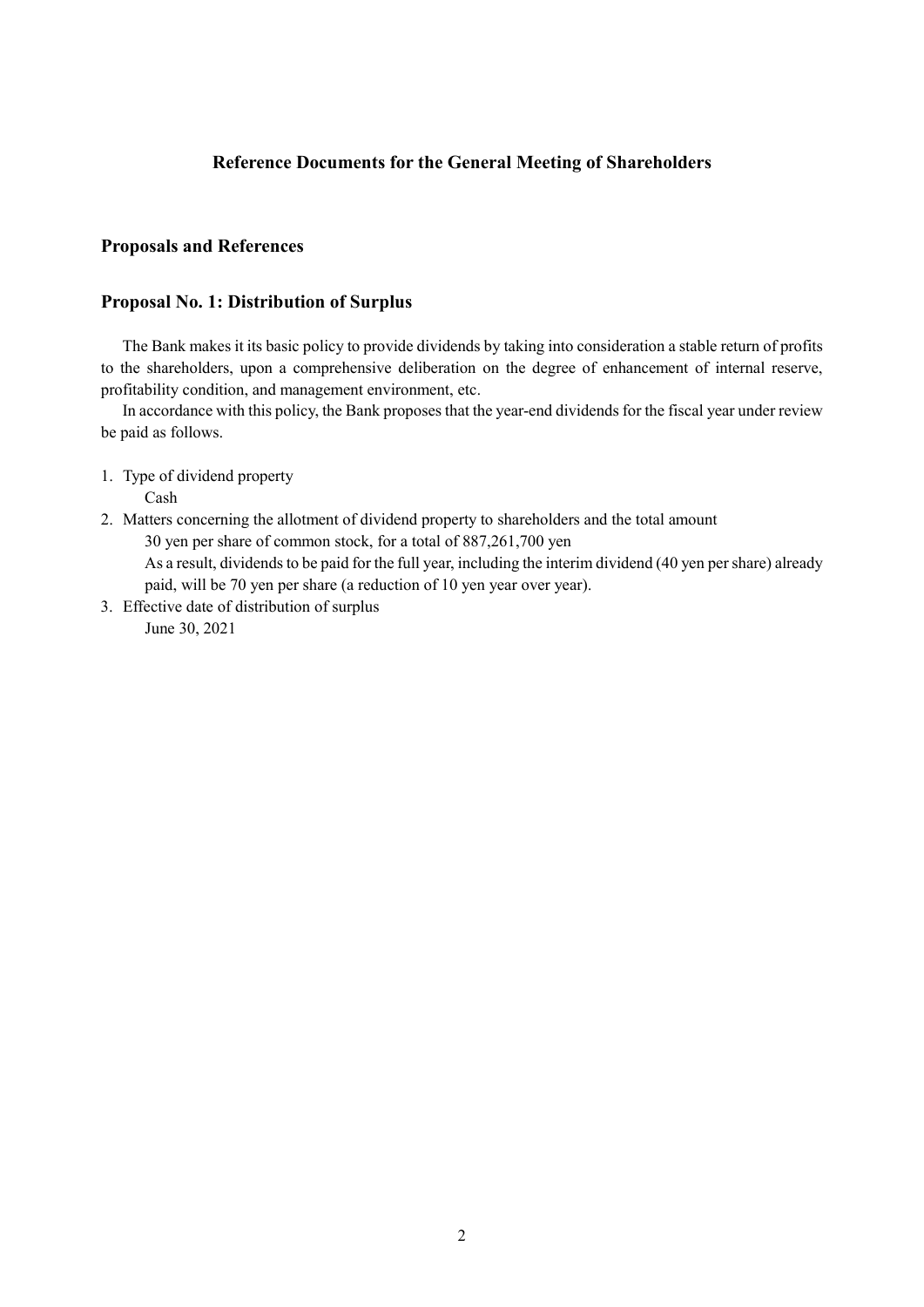### **Reference Documents for the General Meeting of Shareholders**

### **Proposals and References**

#### **Proposal No. 1: Distribution of Surplus**

The Bank makes it its basic policy to provide dividends by taking into consideration a stable return of profits to the shareholders, upon a comprehensive deliberation on the degree of enhancement of internal reserve, profitability condition, and management environment, etc.

In accordance with this policy, the Bank proposes that the year-end dividends for the fiscal year under review be paid as follows.

1. Type of dividend property

Cash

- 2. Matters concerning the allotment of dividend property to shareholders and the total amount 30 yen per share of common stock, for a total of 887,261,700 yen As a result, dividends to be paid for the full year, including the interim dividend (40 yen per share) already paid, will be 70 yen per share (a reduction of 10 yen year over year).
- 3. Effective date of distribution of surplus June 30, 2021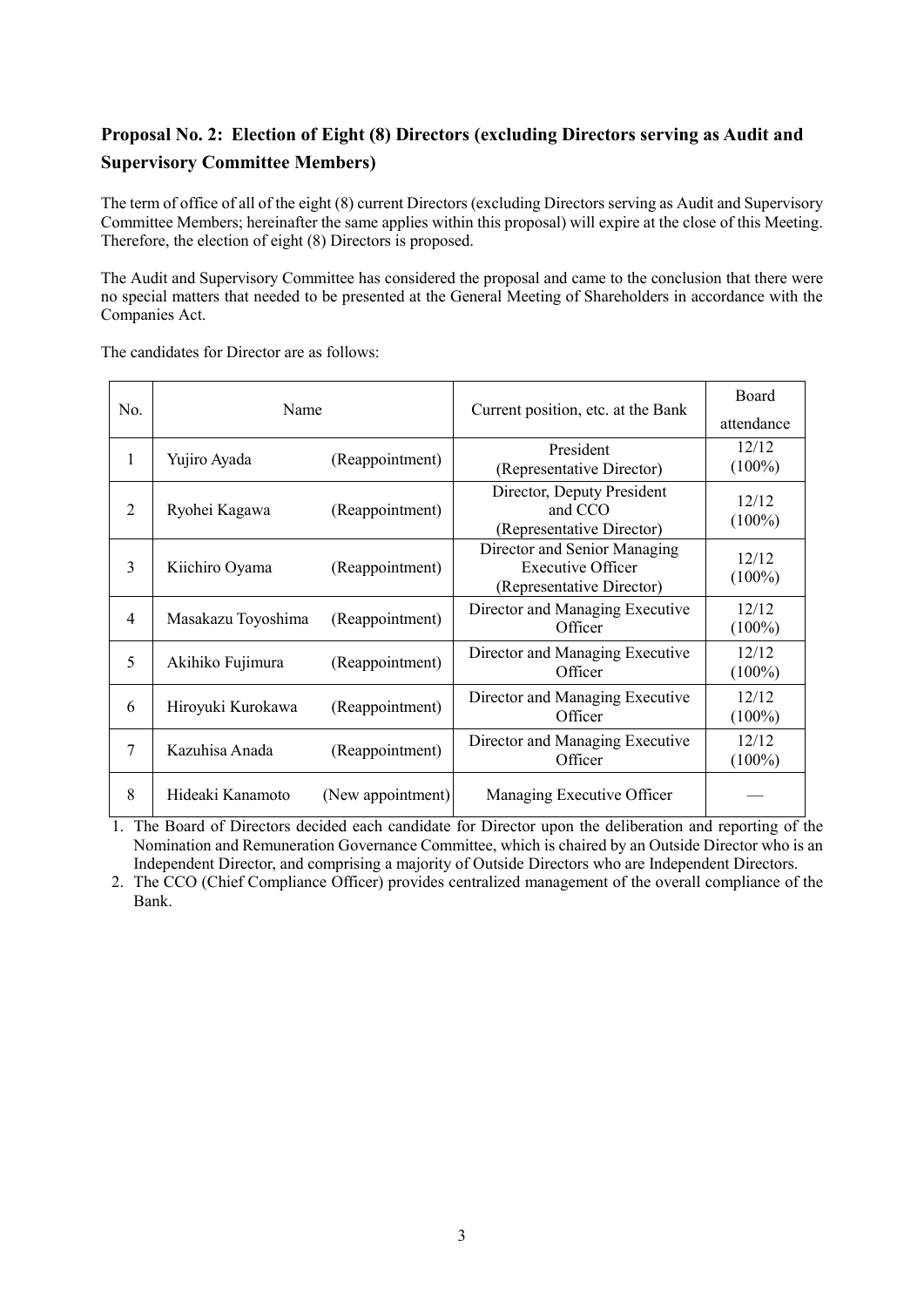# **Proposal No. 2: Election of Eight (8) Directors (excluding Directors serving as Audit and Supervisory Committee Members)**

The term of office of all of the eight (8) current Directors (excluding Directors serving as Audit and Supervisory Committee Members; hereinafter the same applies within this proposal) will expire at the close of this Meeting. Therefore, the election of eight (8) Directors is proposed.

The Audit and Supervisory Committee has considered the proposal and came to the conclusion that there were no special matters that needed to be presented at the General Meeting of Shareholders in accordance with the Companies Act.

The candidates for Director are as follows:

| No. | Name               |                   | Current position, etc. at the Bank                                                    | Board<br>attendance |
|-----|--------------------|-------------------|---------------------------------------------------------------------------------------|---------------------|
| 1   | Yujiro Ayada       | (Reappointment)   | President<br>(Representative Director)                                                | 12/12<br>$(100\%)$  |
| 2   | Ryohei Kagawa      | (Reappointment)   | Director, Deputy President<br>and CCO<br>(Representative Director)                    | 12/12<br>$(100\%)$  |
| 3   | Kiichiro Oyama     | (Reappointment)   | Director and Senior Managing<br><b>Executive Officer</b><br>(Representative Director) | 12/12<br>$(100\%)$  |
| 4   | Masakazu Toyoshima | (Reappointment)   | Director and Managing Executive<br>Officer                                            | 12/12<br>$(100\%)$  |
| 5   | Akihiko Fujimura   | (Reappointment)   | Director and Managing Executive<br>Officer                                            | 12/12<br>$(100\%)$  |
| 6   | Hiroyuki Kurokawa  | (Reappointment)   | Director and Managing Executive<br>Officer                                            | 12/12<br>$(100\%)$  |
| 7   | Kazuhisa Anada     | (Reappointment)   | Director and Managing Executive<br>Officer                                            | 12/12<br>$(100\%)$  |
| 8   | Hideaki Kanamoto   | (New appointment) | Managing Executive Officer                                                            |                     |

1. The Board of Directors decided each candidate for Director upon the deliberation and reporting of the Nomination and Remuneration Governance Committee, which is chaired by an Outside Director who is an Independent Director, and comprising a majority of Outside Directors who are Independent Directors.

2. The CCO (Chief Compliance Officer) provides centralized management of the overall compliance of the Bank.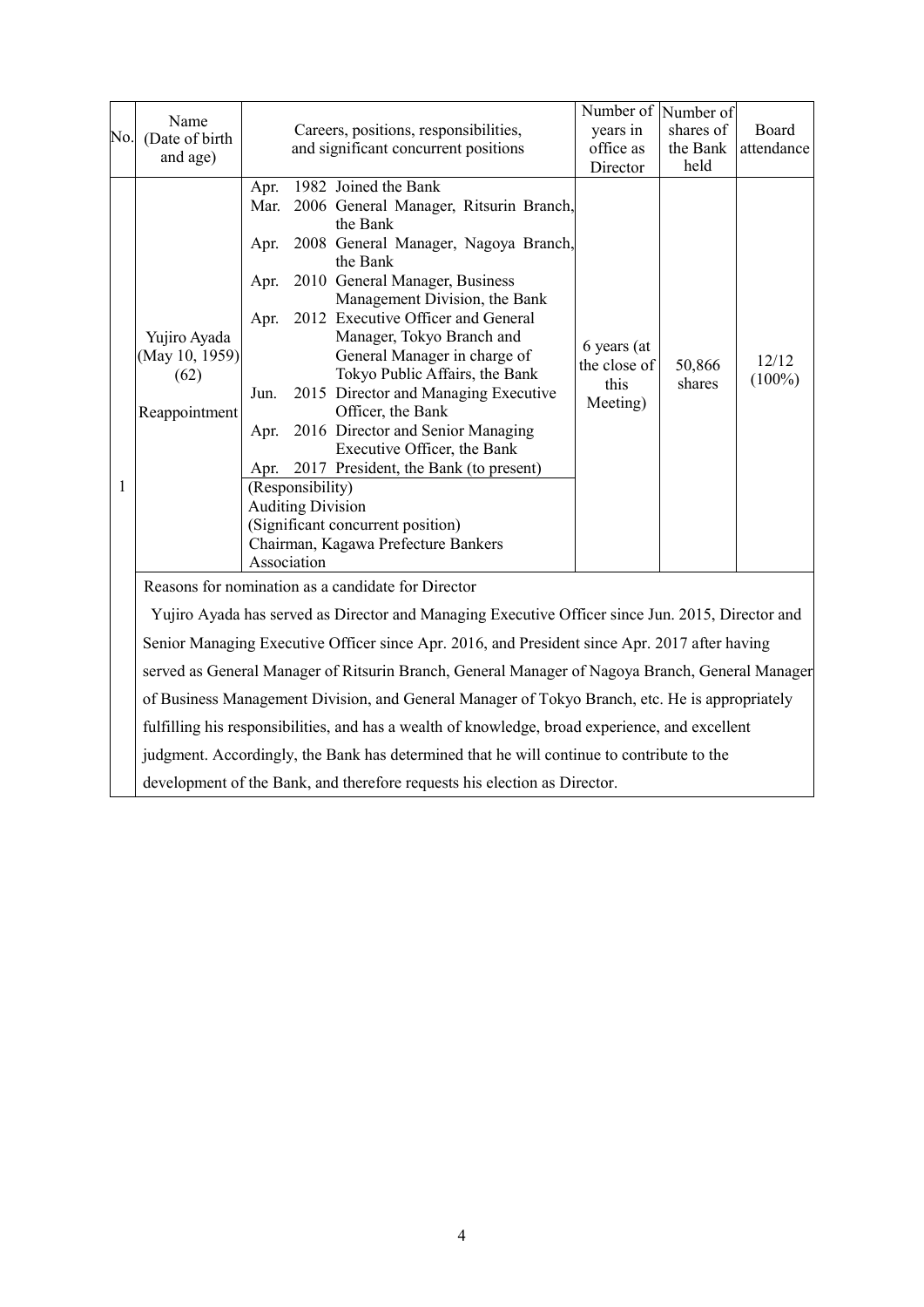|     |                        |      |                          |                                                                                                  | Number of Number of                        |                  |            |
|-----|------------------------|------|--------------------------|--------------------------------------------------------------------------------------------------|--------------------------------------------|------------------|------------|
| No. | Name<br>(Date of birth |      |                          | Careers, positions, responsibilities,                                                            | years in                                   | shares of        | Board      |
|     | and age)               |      |                          | and significant concurrent positions                                                             | office as                                  | the Bank         | attendance |
|     |                        |      |                          |                                                                                                  | Director                                   | held             |            |
|     |                        | Apr. |                          | 1982 Joined the Bank                                                                             |                                            |                  |            |
|     |                        | Mar. |                          | 2006 General Manager, Ritsurin Branch,                                                           |                                            |                  |            |
|     |                        |      |                          | the Bank                                                                                         |                                            |                  |            |
|     |                        | Apr. |                          | 2008 General Manager, Nagoya Branch,<br>the Bank                                                 |                                            |                  |            |
|     |                        | Apr. |                          | 2010 General Manager, Business                                                                   |                                            |                  |            |
|     |                        |      |                          | Management Division, the Bank                                                                    |                                            |                  |            |
|     |                        | Apr. |                          | 2012 Executive Officer and General                                                               |                                            |                  |            |
|     | Yujiro Ayada           |      |                          | Manager, Tokyo Branch and                                                                        |                                            |                  |            |
|     | (May 10, 1959)         |      |                          | General Manager in charge of                                                                     | 6 years (at                                |                  | 12/12      |
|     | (62)                   |      |                          | Tokyo Public Affairs, the Bank                                                                   | the close of<br>this                       | 50,866<br>shares | $(100\%)$  |
|     |                        | Jun. |                          | 2015 Director and Managing Executive                                                             | Meeting)                                   |                  |            |
|     | Reappointment          |      |                          | Officer, the Bank                                                                                |                                            |                  |            |
|     |                        | Apr. |                          | 2016 Director and Senior Managing                                                                |                                            |                  |            |
|     |                        |      |                          | Executive Officer, the Bank                                                                      |                                            |                  |            |
|     |                        |      |                          |                                                                                                  | Apr. 2017 President, the Bank (to present) |                  |            |
| 1   |                        |      | (Responsibility)         |                                                                                                  |                                            |                  |            |
|     |                        |      | <b>Auditing Division</b> | (Significant concurrent position)                                                                |                                            |                  |            |
|     |                        |      |                          | Chairman, Kagawa Prefecture Bankers                                                              |                                            |                  |            |
|     |                        |      | Association              |                                                                                                  |                                            |                  |            |
|     |                        |      |                          | Reasons for nomination as a candidate for Director                                               |                                            |                  |            |
|     |                        |      |                          |                                                                                                  |                                            |                  |            |
|     |                        |      |                          | Yujiro Ayada has served as Director and Managing Executive Officer since Jun. 2015, Director and |                                            |                  |            |
|     |                        |      |                          | Senior Managing Executive Officer since Apr. 2016, and President since Apr. 2017 after having    |                                            |                  |            |
|     |                        |      |                          | served as General Manager of Ritsurin Branch, General Manager of Nagoya Branch, General Manager  |                                            |                  |            |
|     |                        |      |                          | of Business Management Division, and General Manager of Tokyo Branch, etc. He is appropriately   |                                            |                  |            |
|     |                        |      |                          | fulfilling his responsibilities, and has a wealth of knowledge, broad experience, and excellent  |                                            |                  |            |
|     |                        |      |                          | judgment. Accordingly, the Bank has determined that he will continue to contribute to the        |                                            |                  |            |
|     |                        |      |                          | development of the Bank, and therefore requests his election as Director.                        |                                            |                  |            |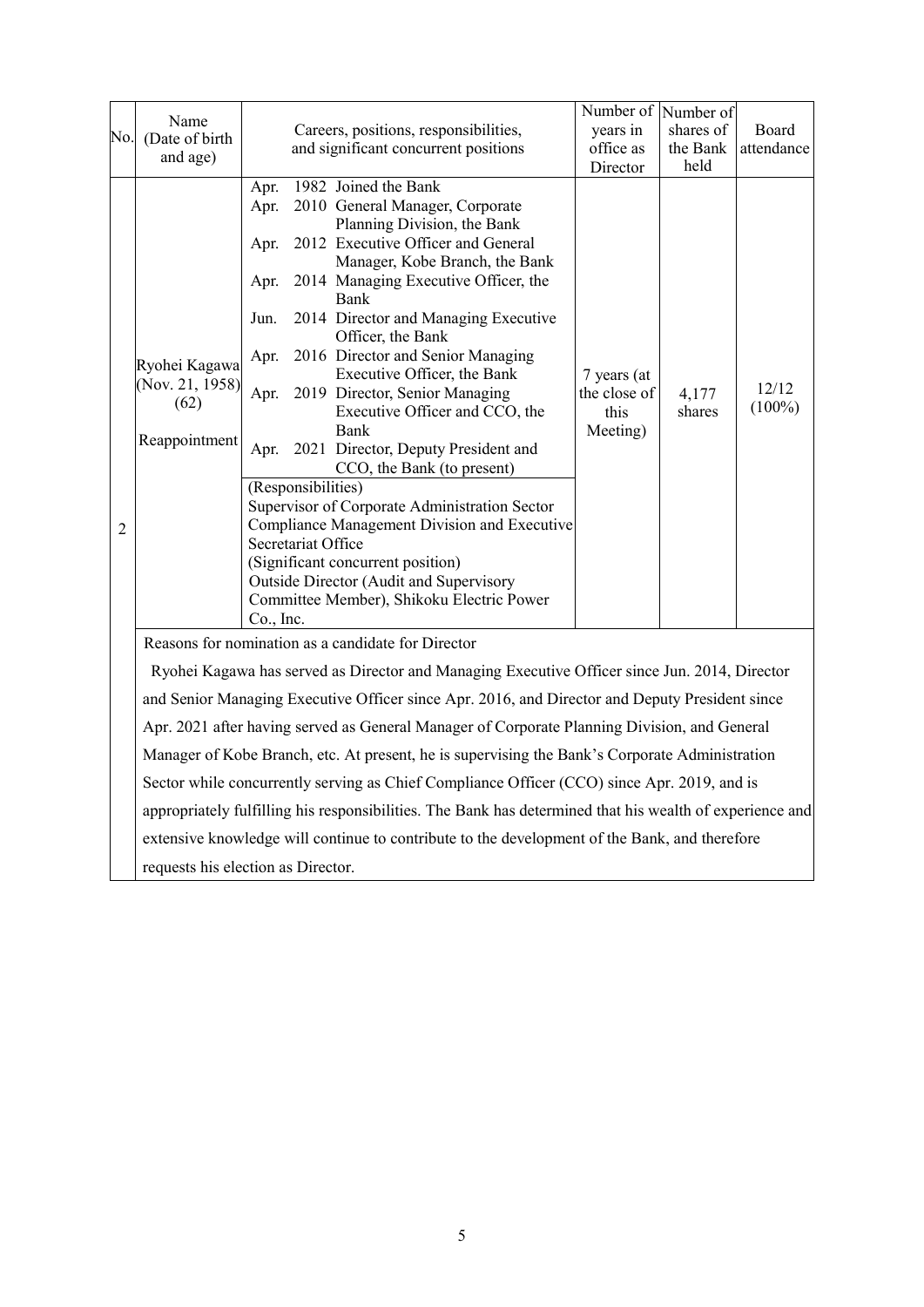|     |                                    |                                                                    |                    |                                                                                                          | Number of Number of |           |            |
|-----|------------------------------------|--------------------------------------------------------------------|--------------------|----------------------------------------------------------------------------------------------------------|---------------------|-----------|------------|
|     | Name                               |                                                                    |                    | Careers, positions, responsibilities,                                                                    | years in            | shares of | Board      |
| No. | (Date of birth                     |                                                                    |                    | and significant concurrent positions                                                                     | office as           | the Bank  | attendance |
|     | and age)                           |                                                                    |                    |                                                                                                          | Director            | held      |            |
|     |                                    | Apr.                                                               |                    | 1982 Joined the Bank                                                                                     |                     |           |            |
|     |                                    | Apr.                                                               |                    | 2010 General Manager, Corporate                                                                          |                     |           |            |
|     |                                    |                                                                    |                    | Planning Division, the Bank                                                                              |                     |           |            |
|     |                                    | Apr.                                                               |                    | 2012 Executive Officer and General                                                                       |                     |           |            |
|     |                                    |                                                                    |                    | Manager, Kobe Branch, the Bank                                                                           |                     |           |            |
|     |                                    | Apr.                                                               |                    | 2014 Managing Executive Officer, the                                                                     |                     |           |            |
|     |                                    |                                                                    |                    | <b>Bank</b>                                                                                              |                     |           |            |
|     |                                    | Jun.                                                               |                    | 2014 Director and Managing Executive<br>Officer, the Bank                                                |                     |           |            |
|     |                                    | Apr.                                                               |                    | 2016 Director and Senior Managing                                                                        |                     |           |            |
|     | Ryohei Kagawa                      |                                                                    |                    | Executive Officer, the Bank                                                                              | 7 years (at         |           |            |
|     | (Nov. 21, 1958)                    |                                                                    |                    | Apr. 2019 Director, Senior Managing                                                                      | the close of        | 4,177     | 12/12      |
|     | (62)                               |                                                                    |                    | Executive Officer and CCO, the                                                                           | this                | shares    | $(100\%)$  |
|     | Reappointment                      |                                                                    |                    | Bank                                                                                                     | Meeting)            |           |            |
|     |                                    | Apr.                                                               |                    | 2021 Director, Deputy President and                                                                      |                     |           |            |
|     |                                    |                                                                    |                    | CCO, the Bank (to present)                                                                               |                     |           |            |
|     |                                    |                                                                    | (Responsibilities) |                                                                                                          |                     |           |            |
|     |                                    |                                                                    |                    | Supervisor of Corporate Administration Sector                                                            |                     |           |            |
| 2   |                                    | Compliance Management Division and Executive<br>Secretariat Office |                    |                                                                                                          |                     |           |            |
|     |                                    |                                                                    |                    |                                                                                                          |                     |           |            |
|     |                                    |                                                                    |                    | (Significant concurrent position)                                                                        |                     |           |            |
|     |                                    |                                                                    |                    | Outside Director (Audit and Supervisory<br>Committee Member), Shikoku Electric Power                     |                     |           |            |
|     |                                    | Co., Inc.                                                          |                    |                                                                                                          |                     |           |            |
|     |                                    |                                                                    |                    | Reasons for nomination as a candidate for Director                                                       |                     |           |            |
|     |                                    |                                                                    |                    | Ryohei Kagawa has served as Director and Managing Executive Officer since Jun. 2014, Director            |                     |           |            |
|     |                                    |                                                                    |                    | and Senior Managing Executive Officer since Apr. 2016, and Director and Deputy President since           |                     |           |            |
|     |                                    |                                                                    |                    | Apr. 2021 after having served as General Manager of Corporate Planning Division, and General             |                     |           |            |
|     |                                    |                                                                    |                    | Manager of Kobe Branch, etc. At present, he is supervising the Bank's Corporate Administration           |                     |           |            |
|     |                                    |                                                                    |                    | Sector while concurrently serving as Chief Compliance Officer (CCO) since Apr. 2019, and is              |                     |           |            |
|     |                                    |                                                                    |                    | appropriately fulfilling his responsibilities. The Bank has determined that his wealth of experience and |                     |           |            |
|     |                                    |                                                                    |                    | extensive knowledge will continue to contribute to the development of the Bank, and therefore            |                     |           |            |
|     | requests his election as Director. |                                                                    |                    |                                                                                                          |                     |           |            |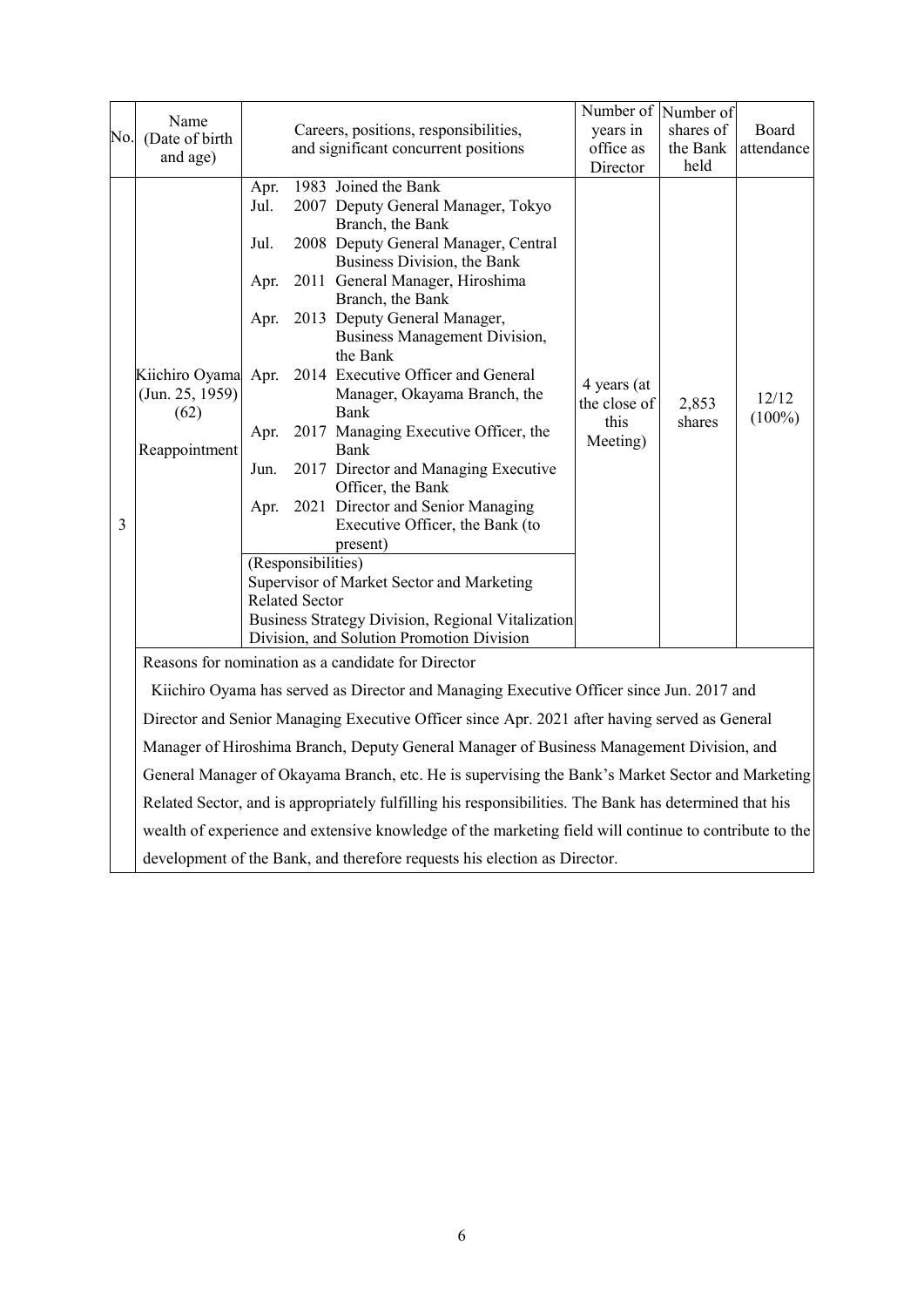|     |                        |                                      |                       |                                                                                                        | Number of Number of |                 |                    |
|-----|------------------------|--------------------------------------|-----------------------|--------------------------------------------------------------------------------------------------------|---------------------|-----------------|--------------------|
| No. | Name<br>(Date of birth |                                      |                       | Careers, positions, responsibilities,                                                                  | years in            | shares of       | Board              |
|     | and age)               |                                      |                       | and significant concurrent positions                                                                   | office as           | the Bank        | attendance         |
|     |                        |                                      |                       |                                                                                                        | Director            | held            |                    |
|     |                        | Apr.                                 |                       | 1983 Joined the Bank                                                                                   |                     |                 |                    |
|     |                        | Jul.                                 |                       | 2007 Deputy General Manager, Tokyo                                                                     |                     |                 |                    |
|     |                        | Jul.                                 |                       | Branch, the Bank<br>2008 Deputy General Manager, Central                                               |                     |                 |                    |
|     |                        |                                      |                       | Business Division, the Bank                                                                            |                     |                 |                    |
|     |                        | Apr.                                 |                       | 2011 General Manager, Hiroshima                                                                        |                     |                 |                    |
|     |                        |                                      |                       | Branch, the Bank                                                                                       |                     |                 |                    |
|     |                        | 2013 Deputy General Manager,<br>Apr. |                       |                                                                                                        |                     |                 |                    |
|     |                        |                                      |                       | <b>Business Management Division,</b>                                                                   |                     |                 |                    |
|     |                        |                                      |                       | the Bank                                                                                               |                     |                 |                    |
|     | Kiichiro Oyama         | Apr.                                 |                       | 2014 Executive Officer and General                                                                     | 4 years (at         |                 |                    |
|     | (Jun. 25, 1959)        |                                      |                       | Manager, Okayama Branch, the                                                                           | the close of        | 2,853<br>shares | 12/12<br>$(100\%)$ |
|     | (62)                   |                                      |                       | Bank                                                                                                   | this                |                 |                    |
|     | Reappointment          | Apr.                                 |                       | 2017 Managing Executive Officer, the<br>Bank                                                           | Meeting)            |                 |                    |
|     |                        | Jun.                                 |                       | 2017 Director and Managing Executive                                                                   |                     |                 |                    |
|     |                        |                                      |                       | Officer, the Bank                                                                                      |                     |                 |                    |
|     |                        | Apr.                                 |                       | 2021 Director and Senior Managing                                                                      |                     |                 |                    |
| 3   |                        |                                      |                       | Executive Officer, the Bank (to                                                                        |                     |                 |                    |
|     |                        |                                      |                       | present)                                                                                               |                     |                 |                    |
|     |                        |                                      | (Responsibilities)    |                                                                                                        |                     |                 |                    |
|     |                        |                                      |                       | Supervisor of Market Sector and Marketing                                                              |                     |                 |                    |
|     |                        |                                      | <b>Related Sector</b> | Business Strategy Division, Regional Vitalization                                                      |                     |                 |                    |
|     |                        |                                      |                       | Division, and Solution Promotion Division                                                              |                     |                 |                    |
|     |                        |                                      |                       | Reasons for nomination as a candidate for Director                                                     |                     |                 |                    |
|     |                        |                                      |                       | Kiichiro Oyama has served as Director and Managing Executive Officer since Jun. 2017 and               |                     |                 |                    |
|     |                        |                                      |                       |                                                                                                        |                     |                 |                    |
|     |                        |                                      |                       | Director and Senior Managing Executive Officer since Apr. 2021 after having served as General          |                     |                 |                    |
|     |                        |                                      |                       | Manager of Hiroshima Branch, Deputy General Manager of Business Management Division, and               |                     |                 |                    |
|     |                        |                                      |                       | General Manager of Okayama Branch, etc. He is supervising the Bank's Market Sector and Marketing       |                     |                 |                    |
|     |                        |                                      |                       | Related Sector, and is appropriately fulfilling his responsibilities. The Bank has determined that his |                     |                 |                    |
|     |                        |                                      |                       | wealth of experience and extensive knowledge of the marketing field will continue to contribute to the |                     |                 |                    |
|     |                        |                                      |                       | development of the Bank, and therefore requests his election as Director.                              |                     |                 |                    |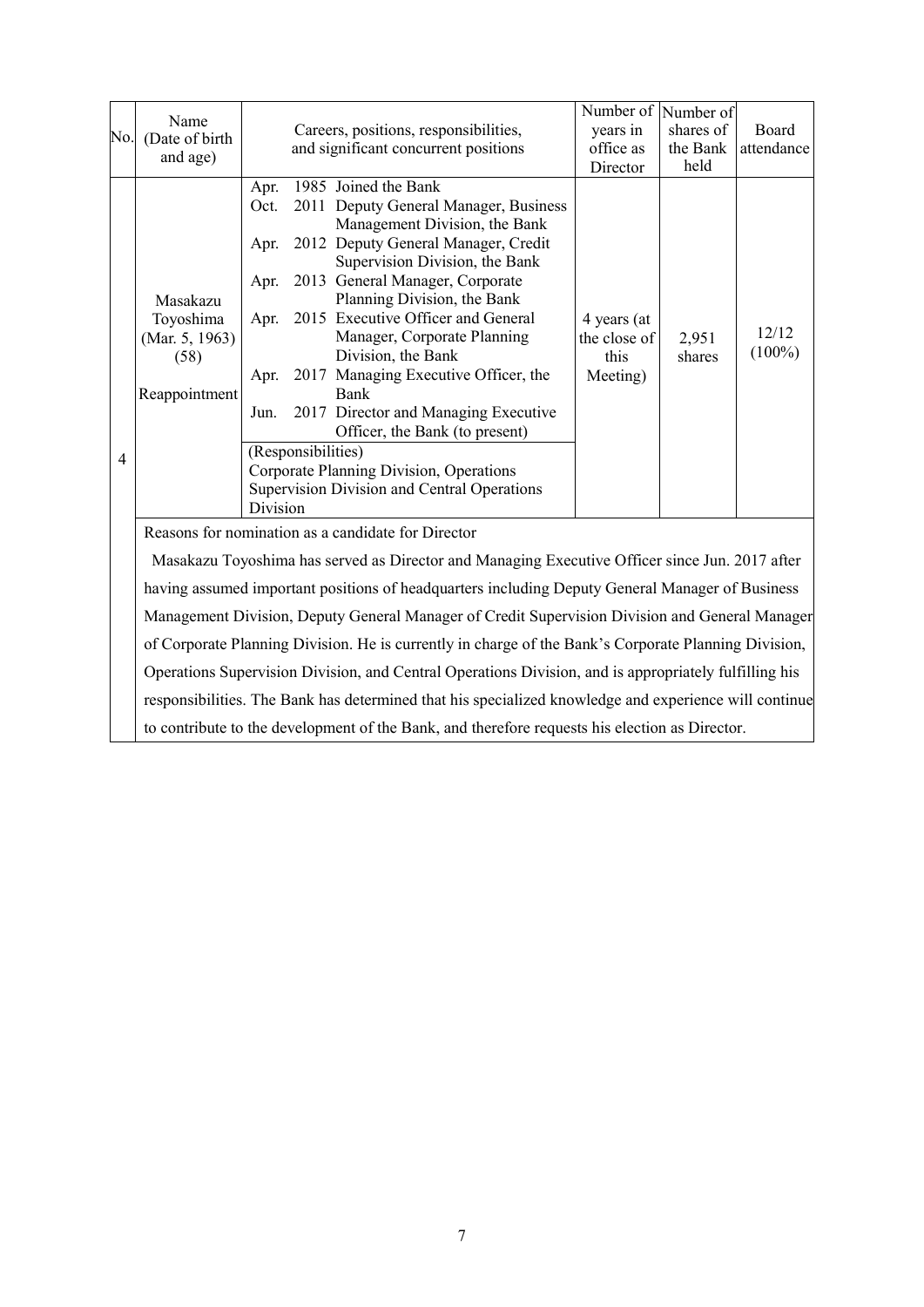|     | Name                                                                                       |          |                    |                                                    | Number of Number of |           |            |
|-----|--------------------------------------------------------------------------------------------|----------|--------------------|----------------------------------------------------|---------------------|-----------|------------|
| No. | (Date of birth                                                                             |          |                    | Careers, positions, responsibilities,              | years in            | shares of | Board      |
|     | and age)                                                                                   |          |                    | and significant concurrent positions               | office as           | the Bank  | attendance |
|     |                                                                                            |          |                    |                                                    | Director            | held      |            |
|     |                                                                                            | Apr.     |                    | 1985 Joined the Bank                               |                     |           |            |
|     |                                                                                            | Oct.     |                    | 2011 Deputy General Manager, Business              |                     |           |            |
|     |                                                                                            |          |                    | Management Division, the Bank                      |                     |           |            |
|     |                                                                                            | Apr.     |                    | 2012 Deputy General Manager, Credit                |                     |           |            |
|     |                                                                                            |          |                    | Supervision Division, the Bank                     |                     |           |            |
|     |                                                                                            | Apr.     |                    | 2013 General Manager, Corporate                    |                     |           |            |
|     | Masakazu                                                                                   |          |                    | Planning Division, the Bank                        |                     |           |            |
|     | Toyoshima                                                                                  | Apr.     |                    | 2015 Executive Officer and General                 | 4 years (at         |           |            |
|     | (Mar. 5, 1963)                                                                             |          |                    | Manager, Corporate Planning                        | the close of        | 2,951     | 12/12      |
|     | (58)                                                                                       |          |                    | Division, the Bank                                 | this                | shares    | $(100\%)$  |
|     |                                                                                            | Apr.     |                    | 2017 Managing Executive Officer, the               | Meeting)            |           |            |
|     | Reappointment                                                                              |          |                    | Bank                                               |                     |           |            |
|     |                                                                                            | Jun.     |                    | 2017 Director and Managing Executive               |                     |           |            |
|     |                                                                                            |          |                    | Officer, the Bank (to present)                     |                     |           |            |
| 4   |                                                                                            |          | (Responsibilities) |                                                    |                     |           |            |
|     |                                                                                            |          |                    | Corporate Planning Division, Operations            |                     |           |            |
|     |                                                                                            |          |                    | Supervision Division and Central Operations        |                     |           |            |
|     |                                                                                            | Division |                    |                                                    |                     |           |            |
|     |                                                                                            |          |                    | Reasons for nomination as a candidate for Director |                     |           |            |
|     |                                                                                            |          |                    |                                                    |                     |           |            |
|     | $M \quad 1$ T $1' \quad 1$ $1 \quad N' \quad 1$ $M \quad 1 \quad T' \quad 1$<br>$2017 - 0$ |          |                    |                                                    |                     |           |            |

Masakazu Toyoshima has served as Director and Managing Executive Officer since Jun. 2017 after having assumed important positions of headquarters including Deputy General Manager of Business Management Division, Deputy General Manager of Credit Supervision Division and General Manager of Corporate Planning Division. He is currently in charge of the Bank's Corporate Planning Division, Operations Supervision Division, and Central Operations Division, and is appropriately fulfilling his responsibilities. The Bank has determined that his specialized knowledge and experience will continue to contribute to the development of the Bank, and therefore requests his election as Director.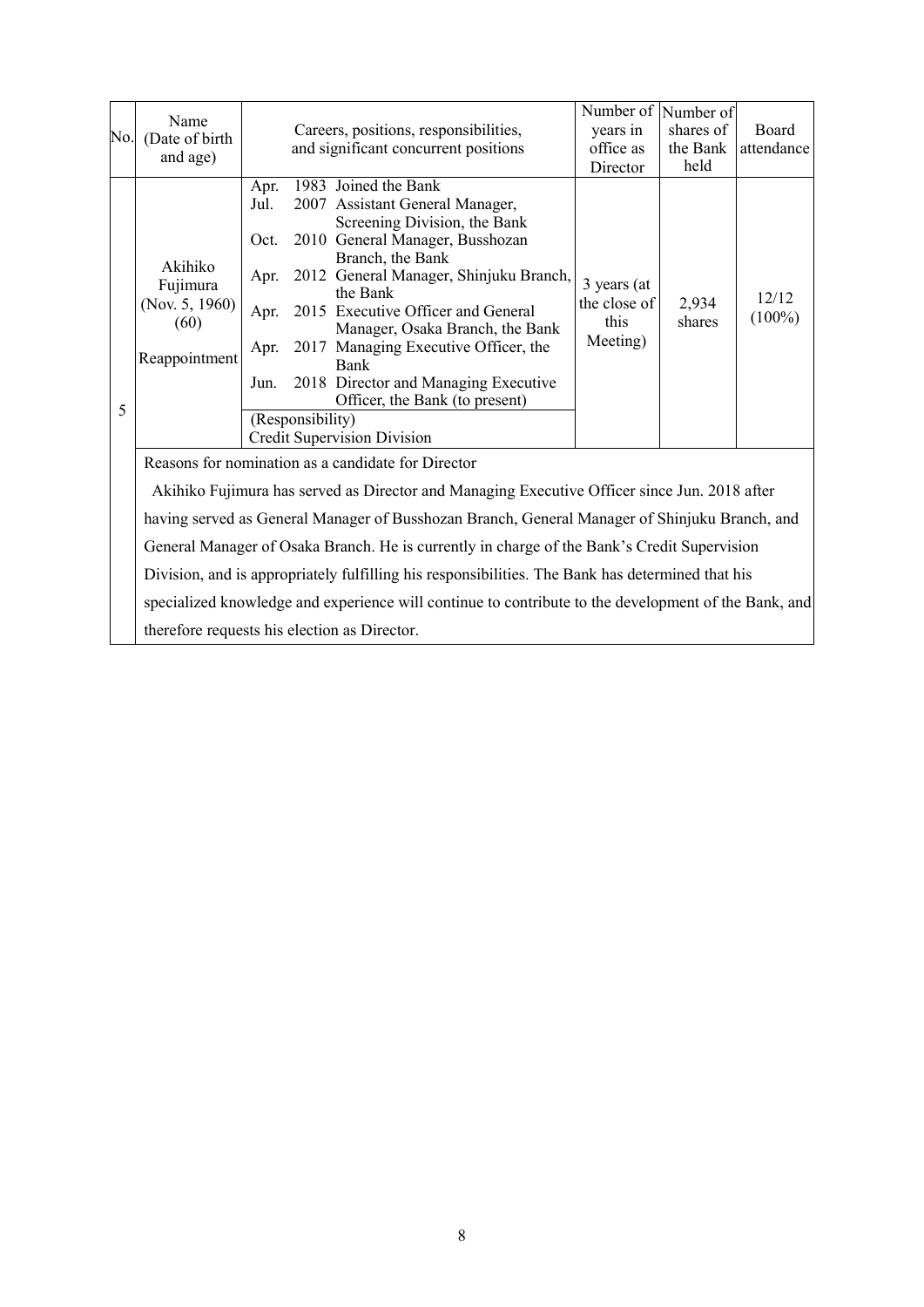|     | Name                                         |      |                  |                                                                                                      | Number of Number of  |                 |                    |
|-----|----------------------------------------------|------|------------------|------------------------------------------------------------------------------------------------------|----------------------|-----------------|--------------------|
| No. | (Date of birth                               |      |                  | Careers, positions, responsibilities,                                                                | years in             | shares of       | Board              |
|     | and age)                                     |      |                  | and significant concurrent positions                                                                 | office as            | the Bank        | attendance         |
|     |                                              |      |                  |                                                                                                      | Director             | held            |                    |
|     |                                              | Apr. |                  | 1983 Joined the Bank                                                                                 |                      |                 |                    |
|     |                                              | Jul. |                  | 2007 Assistant General Manager,                                                                      |                      |                 |                    |
|     |                                              |      |                  | Screening Division, the Bank                                                                         |                      |                 |                    |
|     |                                              | Oct. |                  | 2010 General Manager, Busshozan                                                                      |                      |                 |                    |
|     | Akihiko                                      |      |                  | Branch, the Bank                                                                                     |                      |                 |                    |
|     | Fujimura                                     | Apr. |                  | 2012 General Manager, Shinjuku Branch,<br>the Bank                                                   | 3 years (at          |                 |                    |
|     | (Nov. 5, 1960)                               |      |                  |                                                                                                      | the close of<br>this | 2,934<br>shares | 12/12<br>$(100\%)$ |
|     | (60)                                         | Apr. |                  | 2015 Executive Officer and General<br>Manager, Osaka Branch, the Bank                                |                      |                 |                    |
|     | Reappointment                                | Apr. |                  | 2017 Managing Executive Officer, the                                                                 | Meeting)             |                 |                    |
|     |                                              |      |                  | <b>Bank</b>                                                                                          |                      |                 |                    |
|     |                                              | Jun. |                  | 2018 Director and Managing Executive                                                                 |                      |                 |                    |
|     |                                              |      |                  | Officer, the Bank (to present)                                                                       |                      |                 |                    |
| 5   |                                              |      | (Responsibility) |                                                                                                      |                      |                 |                    |
|     |                                              |      |                  | Credit Supervision Division                                                                          |                      |                 |                    |
|     |                                              |      |                  | Reasons for nomination as a candidate for Director                                                   |                      |                 |                    |
|     |                                              |      |                  |                                                                                                      |                      |                 |                    |
|     |                                              |      |                  | Akihiko Fujimura has served as Director and Managing Executive Officer since Jun. 2018 after         |                      |                 |                    |
|     |                                              |      |                  | having served as General Manager of Busshozan Branch, General Manager of Shinjuku Branch, and        |                      |                 |                    |
|     |                                              |      |                  | General Manager of Osaka Branch. He is currently in charge of the Bank's Credit Supervision          |                      |                 |                    |
|     |                                              |      |                  | Division, and is appropriately fulfilling his responsibilities. The Bank has determined that his     |                      |                 |                    |
|     |                                              |      |                  | specialized knowledge and experience will continue to contribute to the development of the Bank, and |                      |                 |                    |
|     | therefore requests his election as Director. |      |                  |                                                                                                      |                      |                 |                    |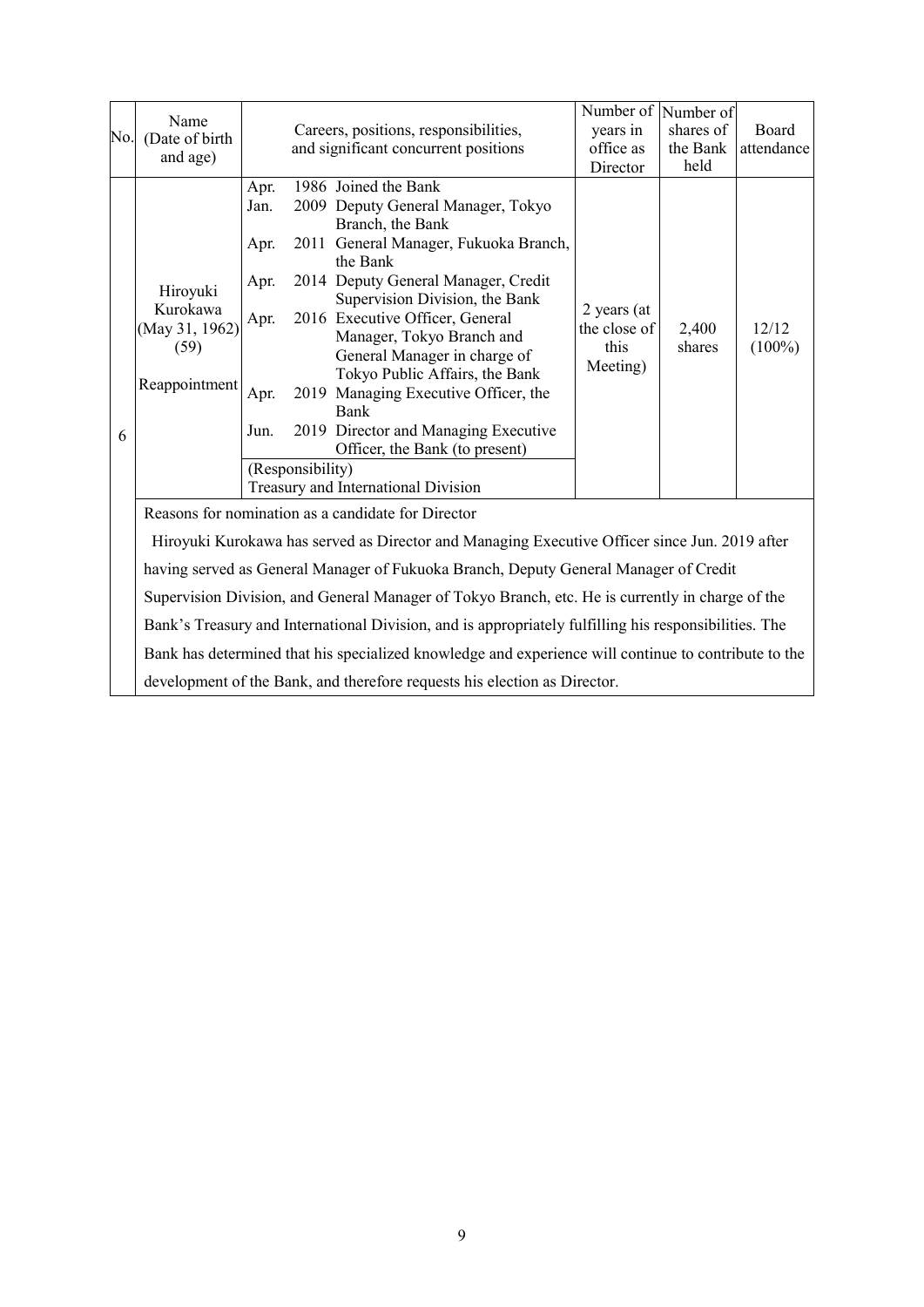| No. | Name<br>(Date of birth<br>and age)                                                                                                                  |                                                      | Careers, positions, responsibilities,<br>and significant concurrent positions                                                                                                                                                                                                                                                                                                                                                                                                                                                       | Number of Number of<br>years in<br>office as<br>Director | shares of<br>the Bank<br>held | Board<br>attendance |  |  |
|-----|-----------------------------------------------------------------------------------------------------------------------------------------------------|------------------------------------------------------|-------------------------------------------------------------------------------------------------------------------------------------------------------------------------------------------------------------------------------------------------------------------------------------------------------------------------------------------------------------------------------------------------------------------------------------------------------------------------------------------------------------------------------------|----------------------------------------------------------|-------------------------------|---------------------|--|--|
| 6   | Hiroyuki<br>Kurokawa<br>(May 31, 1962)<br>(59)<br>Reappointment                                                                                     | Apr.<br>Jan.<br>Apr.<br>Apr.<br>Apr.<br>Apr.<br>Jun. | 1986 Joined the Bank<br>2009 Deputy General Manager, Tokyo<br>Branch, the Bank<br>2011 General Manager, Fukuoka Branch,<br>the Bank<br>2014 Deputy General Manager, Credit<br>Supervision Division, the Bank<br>2016 Executive Officer, General<br>Manager, Tokyo Branch and<br>General Manager in charge of<br>Tokyo Public Affairs, the Bank<br>2019 Managing Executive Officer, the<br>Bank<br>2019 Director and Managing Executive<br>Officer, the Bank (to present)<br>(Responsibility)<br>Treasury and International Division | 2 years (at<br>the close of<br>this<br>Meeting)          | 2,400<br>shares               | 12/12<br>$(100\%)$  |  |  |
|     | Reasons for nomination as a candidate for Director<br>Hiroyuki Kurokawa has served as Director and Managing Executive Officer since Jun. 2019 after |                                                      |                                                                                                                                                                                                                                                                                                                                                                                                                                                                                                                                     |                                                          |                               |                     |  |  |
|     |                                                                                                                                                     |                                                      | having served as General Manager of Fukuoka Branch, Deputy General Manager of Credit                                                                                                                                                                                                                                                                                                                                                                                                                                                |                                                          |                               |                     |  |  |
|     |                                                                                                                                                     |                                                      | Supervision Division, and General Manager of Tokyo Branch, etc. He is currently in charge of the                                                                                                                                                                                                                                                                                                                                                                                                                                    |                                                          |                               |                     |  |  |
|     |                                                                                                                                                     |                                                      | Bank's Treasury and International Division, and is appropriately fulfilling his responsibilities. The                                                                                                                                                                                                                                                                                                                                                                                                                               |                                                          |                               |                     |  |  |
|     |                                                                                                                                                     |                                                      | Bank has determined that his specialized knowledge and experience will continue to contribute to the                                                                                                                                                                                                                                                                                                                                                                                                                                |                                                          |                               |                     |  |  |
|     |                                                                                                                                                     |                                                      | development of the Bank, and therefore requests his election as Director.                                                                                                                                                                                                                                                                                                                                                                                                                                                           |                                                          |                               |                     |  |  |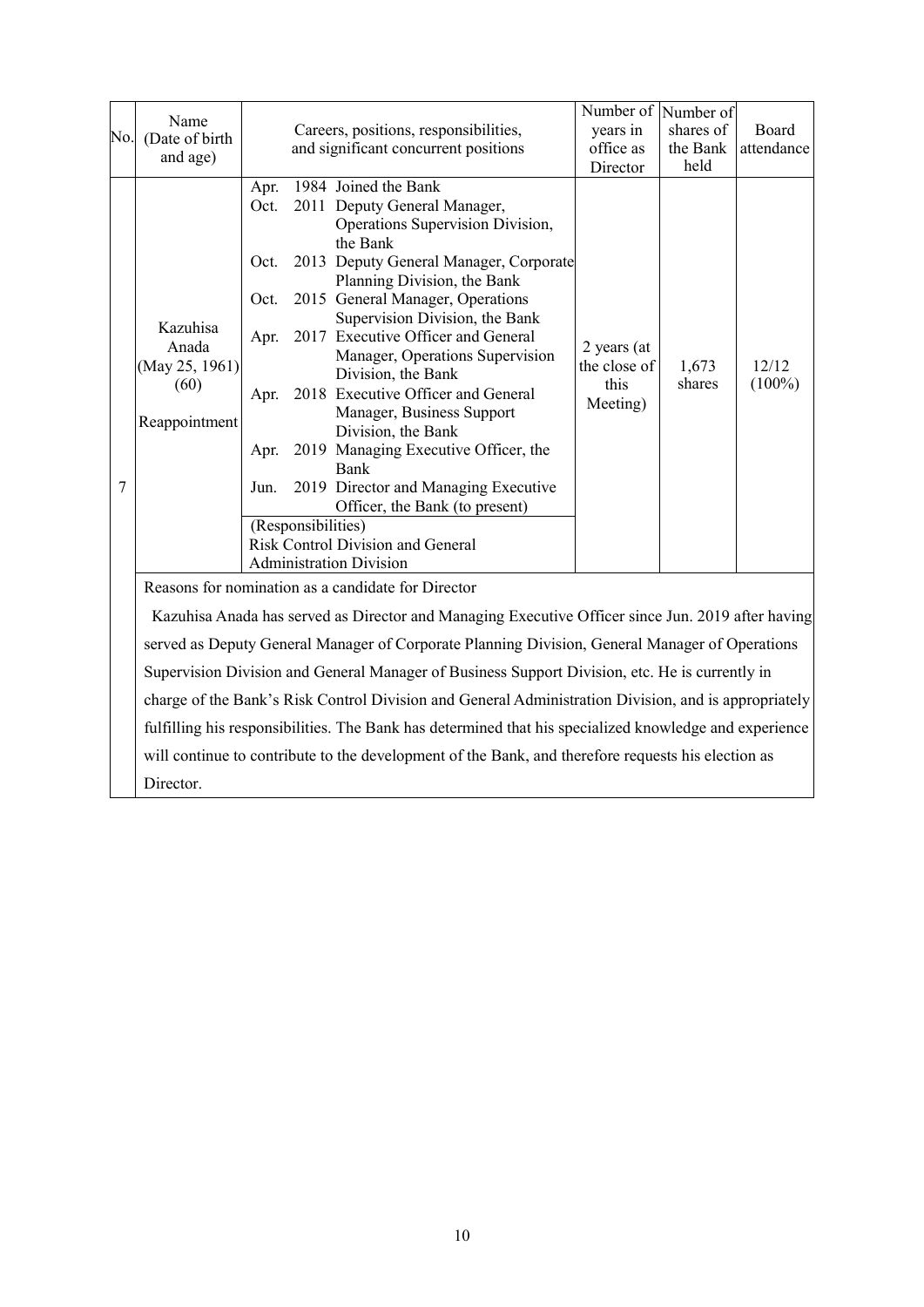|     |                                                              |                                                              |                    |                                                                                                                                                                                                                                                                                                                                                                                                                                                                                                                                            | Number of Number of                             |                 |                    |
|-----|--------------------------------------------------------------|--------------------------------------------------------------|--------------------|--------------------------------------------------------------------------------------------------------------------------------------------------------------------------------------------------------------------------------------------------------------------------------------------------------------------------------------------------------------------------------------------------------------------------------------------------------------------------------------------------------------------------------------------|-------------------------------------------------|-----------------|--------------------|
| No. | Name<br>(Date of birth                                       |                                                              |                    | Careers, positions, responsibilities,                                                                                                                                                                                                                                                                                                                                                                                                                                                                                                      | years in                                        | shares of       | Board              |
|     | and age)                                                     |                                                              |                    | and significant concurrent positions                                                                                                                                                                                                                                                                                                                                                                                                                                                                                                       | office as                                       | the Bank        | attendance         |
|     |                                                              |                                                              |                    |                                                                                                                                                                                                                                                                                                                                                                                                                                                                                                                                            | Director                                        | held            |                    |
| 7   | Kazuhisa<br>Anada<br>(May 25, 1961)<br>(60)<br>Reappointment | Apr.<br>Oct.<br>Oct.<br>Oct.<br>Apr.<br>Apr.<br>Apr.<br>Jun. |                    | 1984 Joined the Bank<br>2011 Deputy General Manager,<br>Operations Supervision Division,<br>the Bank<br>2013 Deputy General Manager, Corporate<br>Planning Division, the Bank<br>2015 General Manager, Operations<br>Supervision Division, the Bank<br>2017 Executive Officer and General<br>Manager, Operations Supervision<br>Division, the Bank<br>2018 Executive Officer and General<br>Manager, Business Support<br>Division, the Bank<br>2019 Managing Executive Officer, the<br><b>Bank</b><br>2019 Director and Managing Executive | 2 years (at<br>the close of<br>this<br>Meeting) | 1,673<br>shares | 12/12<br>$(100\%)$ |
|     |                                                              |                                                              | (Responsibilities) | Officer, the Bank (to present)                                                                                                                                                                                                                                                                                                                                                                                                                                                                                                             |                                                 |                 |                    |
|     |                                                              |                                                              |                    | <b>Risk Control Division and General</b>                                                                                                                                                                                                                                                                                                                                                                                                                                                                                                   |                                                 |                 |                    |
|     |                                                              |                                                              |                    | <b>Administration Division</b>                                                                                                                                                                                                                                                                                                                                                                                                                                                                                                             |                                                 |                 |                    |
|     |                                                              |                                                              |                    | Reasons for nomination as a candidate for Director                                                                                                                                                                                                                                                                                                                                                                                                                                                                                         |                                                 |                 |                    |
|     |                                                              |                                                              |                    | Kazuhisa Anada has served as Director and Managing Executive Officer since Jun. 2019 after having                                                                                                                                                                                                                                                                                                                                                                                                                                          |                                                 |                 |                    |
|     |                                                              |                                                              |                    | served as Deputy General Manager of Corporate Planning Division, General Manager of Operations                                                                                                                                                                                                                                                                                                                                                                                                                                             |                                                 |                 |                    |
|     |                                                              |                                                              |                    | Supervision Division and General Manager of Business Support Division, etc. He is currently in                                                                                                                                                                                                                                                                                                                                                                                                                                             |                                                 |                 |                    |
|     |                                                              |                                                              |                    | charge of the Bank's Risk Control Division and General Administration Division, and is appropriately                                                                                                                                                                                                                                                                                                                                                                                                                                       |                                                 |                 |                    |
|     |                                                              |                                                              |                    | fulfilling his responsibilities. The Bank has determined that his specialized knowledge and experience                                                                                                                                                                                                                                                                                                                                                                                                                                     |                                                 |                 |                    |
|     |                                                              |                                                              |                    | will continue to contribute to the development of the Bank, and therefore requests his election as                                                                                                                                                                                                                                                                                                                                                                                                                                         |                                                 |                 |                    |
|     | Director.                                                    |                                                              |                    |                                                                                                                                                                                                                                                                                                                                                                                                                                                                                                                                            |                                                 |                 |                    |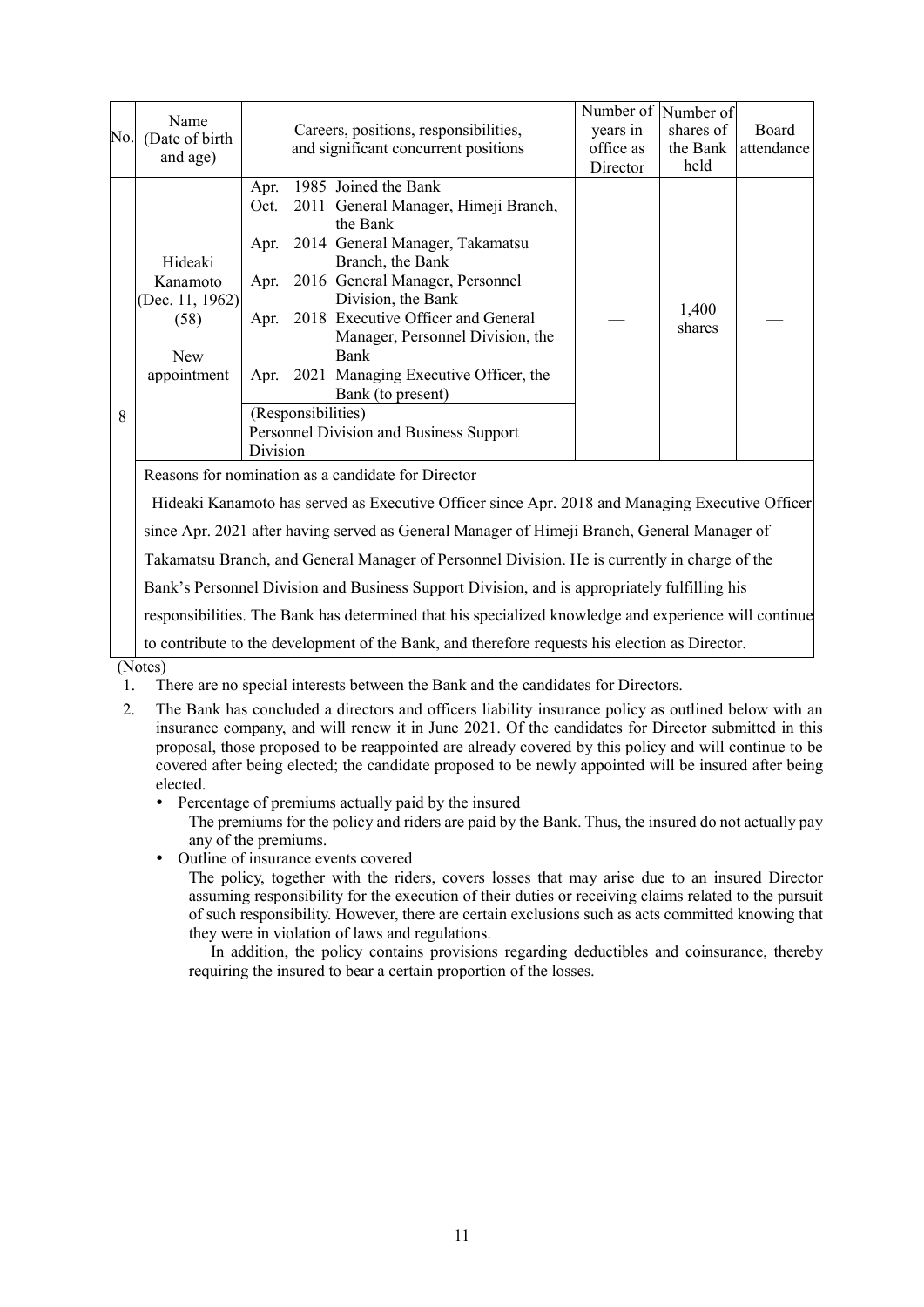|     | Name                                               |          |                    |                                                                                                 | Number of Number of |           |            |
|-----|----------------------------------------------------|----------|--------------------|-------------------------------------------------------------------------------------------------|---------------------|-----------|------------|
| No. | (Date of birth                                     |          |                    | Careers, positions, responsibilities,                                                           | years in            | shares of | Board      |
|     | and age)                                           |          |                    | and significant concurrent positions                                                            | office as           | the Bank  | attendance |
|     |                                                    |          |                    |                                                                                                 | Director            | held      |            |
|     |                                                    | Apr.     |                    | 1985 Joined the Bank                                                                            |                     |           |            |
|     |                                                    | Oct.     |                    | 2011 General Manager, Himeji Branch,                                                            |                     |           |            |
|     |                                                    |          |                    | the Bank                                                                                        |                     |           |            |
|     |                                                    | Apr.     |                    | 2014 General Manager, Takamatsu                                                                 |                     |           |            |
|     | Hideaki                                            |          |                    | Branch, the Bank                                                                                |                     |           |            |
|     | Kanamoto                                           | Apr.     |                    | 2016 General Manager, Personnel                                                                 |                     |           |            |
|     | (Dec. 11, 1962)                                    |          |                    | Division, the Bank                                                                              |                     |           |            |
|     | (58)                                               | Apr.     |                    | 2018 Executive Officer and General                                                              |                     | 1,400     |            |
|     |                                                    |          |                    | Manager, Personnel Division, the                                                                |                     | shares    |            |
|     | <b>New</b>                                         |          |                    | Bank                                                                                            |                     |           |            |
|     | appointment                                        | Apr.     |                    | 2021 Managing Executive Officer, the                                                            |                     |           |            |
|     |                                                    |          |                    | Bank (to present)                                                                               |                     |           |            |
| 8   |                                                    |          | (Responsibilities) |                                                                                                 |                     |           |            |
|     |                                                    |          |                    | Personnel Division and Business Support                                                         |                     |           |            |
|     |                                                    | Division |                    |                                                                                                 |                     |           |            |
|     | Reasons for nomination as a candidate for Director |          |                    |                                                                                                 |                     |           |            |
|     |                                                    |          |                    | Hideaki Kanamoto has served as Executive Officer since Apr. 2018 and Managing Executive Officer |                     |           |            |
|     |                                                    |          |                    | since Apr. 2021 after having served as General Manager of Himeji Branch, General Manager of     |                     |           |            |

Takamatsu Branch, and General Manager of Personnel Division. He is currently in charge of the

Bank's Personnel Division and Business Support Division, and is appropriately fulfilling his

responsibilities. The Bank has determined that his specialized knowledge and experience will continue

to contribute to the development of the Bank, and therefore requests his election as Director.

(Notes)

- 1. There are no special interests between the Bank and the candidates for Directors.
- 2. The Bank has concluded a directors and officers liability insurance policy as outlined below with an insurance company, and will renew it in June 2021. Of the candidates for Director submitted in this proposal, those proposed to be reappointed are already covered by this policy and will continue to be covered after being elected; the candidate proposed to be newly appointed will be insured after being elected.
	- Percentage of premiums actually paid by the insured

The premiums for the policy and riders are paid by the Bank. Thus, the insured do not actually pay any of the premiums.

• Outline of insurance events covered

The policy, together with the riders, covers losses that may arise due to an insured Director assuming responsibility for the execution of their duties or receiving claims related to the pursuit of such responsibility. However, there are certain exclusions such as acts committed knowing that they were in violation of laws and regulations.

In addition, the policy contains provisions regarding deductibles and coinsurance, thereby requiring the insured to bear a certain proportion of the losses.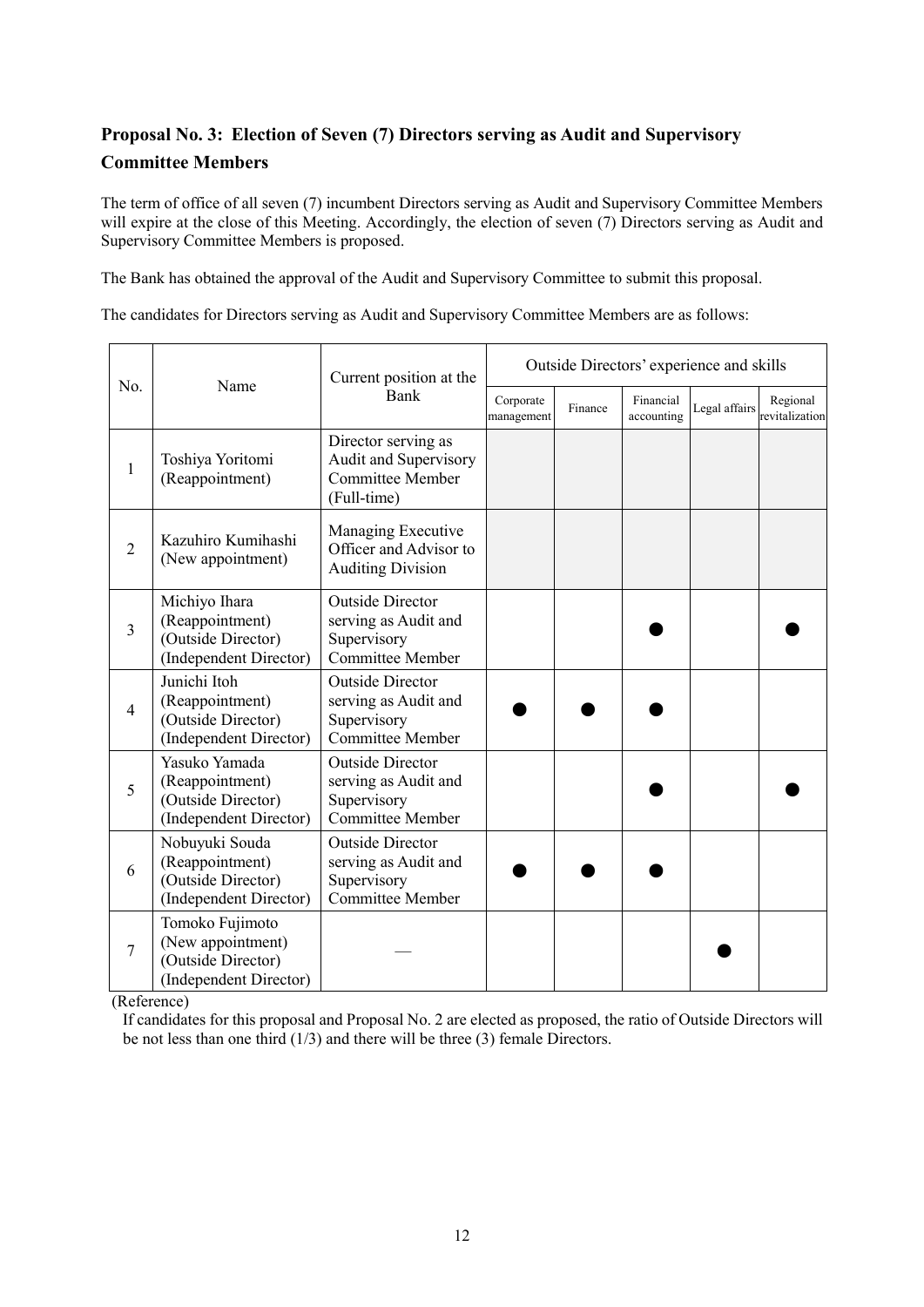# **Proposal No. 3: Election of Seven (7) Directors serving as Audit and Supervisory Committee Members**

The term of office of all seven (7) incumbent Directors serving as Audit and Supervisory Committee Members will expire at the close of this Meeting. Accordingly, the election of seven (7) Directors serving as Audit and Supervisory Committee Members is proposed.

The Bank has obtained the approval of the Audit and Supervisory Committee to submit this proposal.

The candidates for Directors serving as Audit and Supervisory Committee Members are as follows:

|                                                |                                                                                      | Current position at the                                                                   | Outside Directors' experience and skills |         |                         |               |                            |
|------------------------------------------------|--------------------------------------------------------------------------------------|-------------------------------------------------------------------------------------------|------------------------------------------|---------|-------------------------|---------------|----------------------------|
| No.<br>1<br>$\overline{2}$<br>3<br>4<br>5<br>6 | Name                                                                                 | Bank                                                                                      | Corporate<br>management                  | Finance | Financial<br>accounting | Legal affairs | Regional<br>revitalization |
|                                                | Toshiya Yoritomi<br>(Reappointment)                                                  | Director serving as<br>Audit and Supervisory<br><b>Committee Member</b><br>(Full-time)    |                                          |         |                         |               |                            |
|                                                | Kazuhiro Kumihashi<br>(New appointment)                                              | Managing Executive<br>Officer and Advisor to<br><b>Auditing Division</b>                  |                                          |         |                         |               |                            |
|                                                | Michiyo Ihara<br>(Reappointment)<br>(Outside Director)<br>(Independent Director)     | <b>Outside Director</b><br>serving as Audit and<br>Supervisory<br><b>Committee Member</b> |                                          |         |                         |               |                            |
|                                                | Junichi Itoh<br>(Reappointment)<br>(Outside Director)<br>(Independent Director)      | <b>Outside Director</b><br>serving as Audit and<br>Supervisory<br><b>Committee Member</b> |                                          |         |                         |               |                            |
|                                                | Yasuko Yamada<br>(Reappointment)<br>(Outside Director)<br>(Independent Director)     | <b>Outside Director</b><br>serving as Audit and<br>Supervisory<br>Committee Member        |                                          |         |                         |               |                            |
|                                                | Nobuyuki Souda<br>(Reappointment)<br>(Outside Director)<br>(Independent Director)    | <b>Outside Director</b><br>serving as Audit and<br>Supervisory<br>Committee Member        |                                          |         |                         |               |                            |
| 7                                              | Tomoko Fujimoto<br>(New appointment)<br>(Outside Director)<br>(Independent Director) |                                                                                           |                                          |         |                         |               |                            |

(Reference)

If candidates for this proposal and Proposal No. 2 are elected as proposed, the ratio of Outside Directors will be not less than one third (1/3) and there will be three (3) female Directors.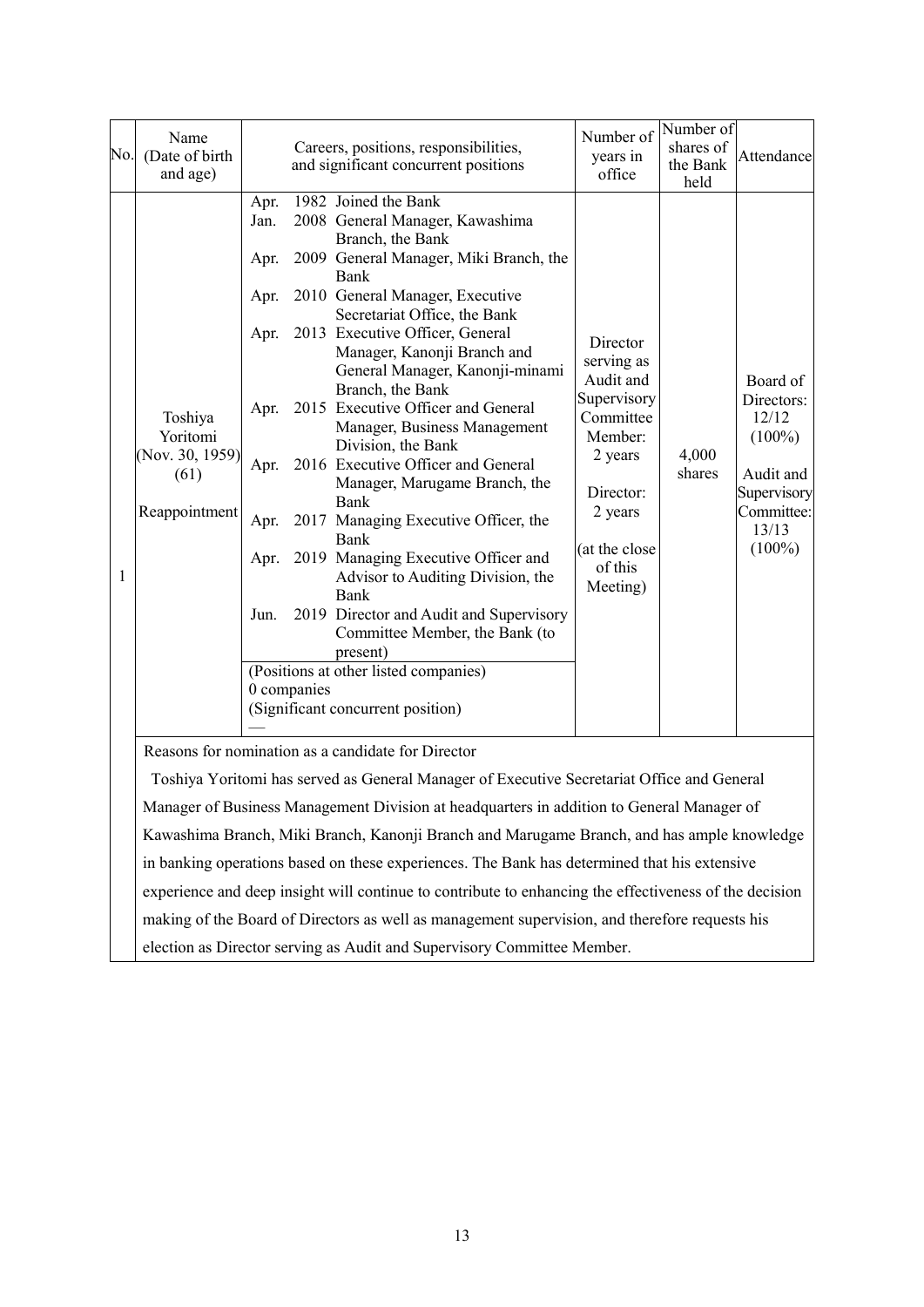|   | Name<br>No. (Date of birth<br>and age)                          |                                                                                             | Careers, positions, responsibilities,<br>and significant concurrent positions                                                                                                                                                                                                                                                                                                                                                                                                                                                                                                                                                                                                                                                                                                                                                 | Number of<br>years in<br>office                                                                                                                       | Number of<br>shares of<br>the Bank<br>held | Attendance                                                                                                   |
|---|-----------------------------------------------------------------|---------------------------------------------------------------------------------------------|-------------------------------------------------------------------------------------------------------------------------------------------------------------------------------------------------------------------------------------------------------------------------------------------------------------------------------------------------------------------------------------------------------------------------------------------------------------------------------------------------------------------------------------------------------------------------------------------------------------------------------------------------------------------------------------------------------------------------------------------------------------------------------------------------------------------------------|-------------------------------------------------------------------------------------------------------------------------------------------------------|--------------------------------------------|--------------------------------------------------------------------------------------------------------------|
| 1 | Toshiya<br>Yoritomi<br>(Nov. 30, 1959)<br>(61)<br>Reappointment | Apr.<br>Jan.<br>Apr.<br>Apr.<br>Apr.<br>Apr.<br>Apr.<br>Apr.<br>Apr.<br>Jun.<br>0 companies | 1982 Joined the Bank<br>2008 General Manager, Kawashima<br>Branch, the Bank<br>2009 General Manager, Miki Branch, the<br>Bank<br>2010 General Manager, Executive<br>Secretariat Office, the Bank<br>2013 Executive Officer, General<br>Manager, Kanonji Branch and<br>General Manager, Kanonji-minami<br>Branch, the Bank<br>2015 Executive Officer and General<br>Manager, Business Management<br>Division, the Bank<br>2016 Executive Officer and General<br>Manager, Marugame Branch, the<br>Bank<br>2017 Managing Executive Officer, the<br><b>Bank</b><br>2019 Managing Executive Officer and<br>Advisor to Auditing Division, the<br><b>Bank</b><br>2019 Director and Audit and Supervisory<br>Committee Member, the Bank (to<br>present)<br>(Positions at other listed companies)<br>(Significant concurrent position) | Director<br>serving as<br>Audit and<br>Supervisory<br>Committee<br>Member:<br>2 years<br>Director:<br>2 years<br>(at the close<br>of this<br>Meeting) | 4,000<br>shares                            | Board of<br>Directors:<br>12/12<br>$(100\%)$<br>Audit and<br>Supervisory<br>Committee:<br>13/13<br>$(100\%)$ |
|   |                                                                 |                                                                                             | Reasons for nomination as a candidate for Director                                                                                                                                                                                                                                                                                                                                                                                                                                                                                                                                                                                                                                                                                                                                                                            |                                                                                                                                                       |                                            |                                                                                                              |
|   |                                                                 |                                                                                             | Toshiya Yoritomi has served as General Manager of Executive Secretariat Office and General                                                                                                                                                                                                                                                                                                                                                                                                                                                                                                                                                                                                                                                                                                                                    |                                                                                                                                                       |                                            |                                                                                                              |
|   |                                                                 |                                                                                             | Manager of Business Management Division at headquarters in addition to General Manager of                                                                                                                                                                                                                                                                                                                                                                                                                                                                                                                                                                                                                                                                                                                                     |                                                                                                                                                       |                                            |                                                                                                              |
|   |                                                                 |                                                                                             | Kawashima Branch, Miki Branch, Kanonji Branch and Marugame Branch, and has ample knowledge                                                                                                                                                                                                                                                                                                                                                                                                                                                                                                                                                                                                                                                                                                                                    |                                                                                                                                                       |                                            |                                                                                                              |

in banking operations based on these experiences. The Bank has determined that his extensive experience and deep insight will continue to contribute to enhancing the effectiveness of the decision making of the Board of Directors as well as management supervision, and therefore requests his

election as Director serving as Audit and Supervisory Committee Member.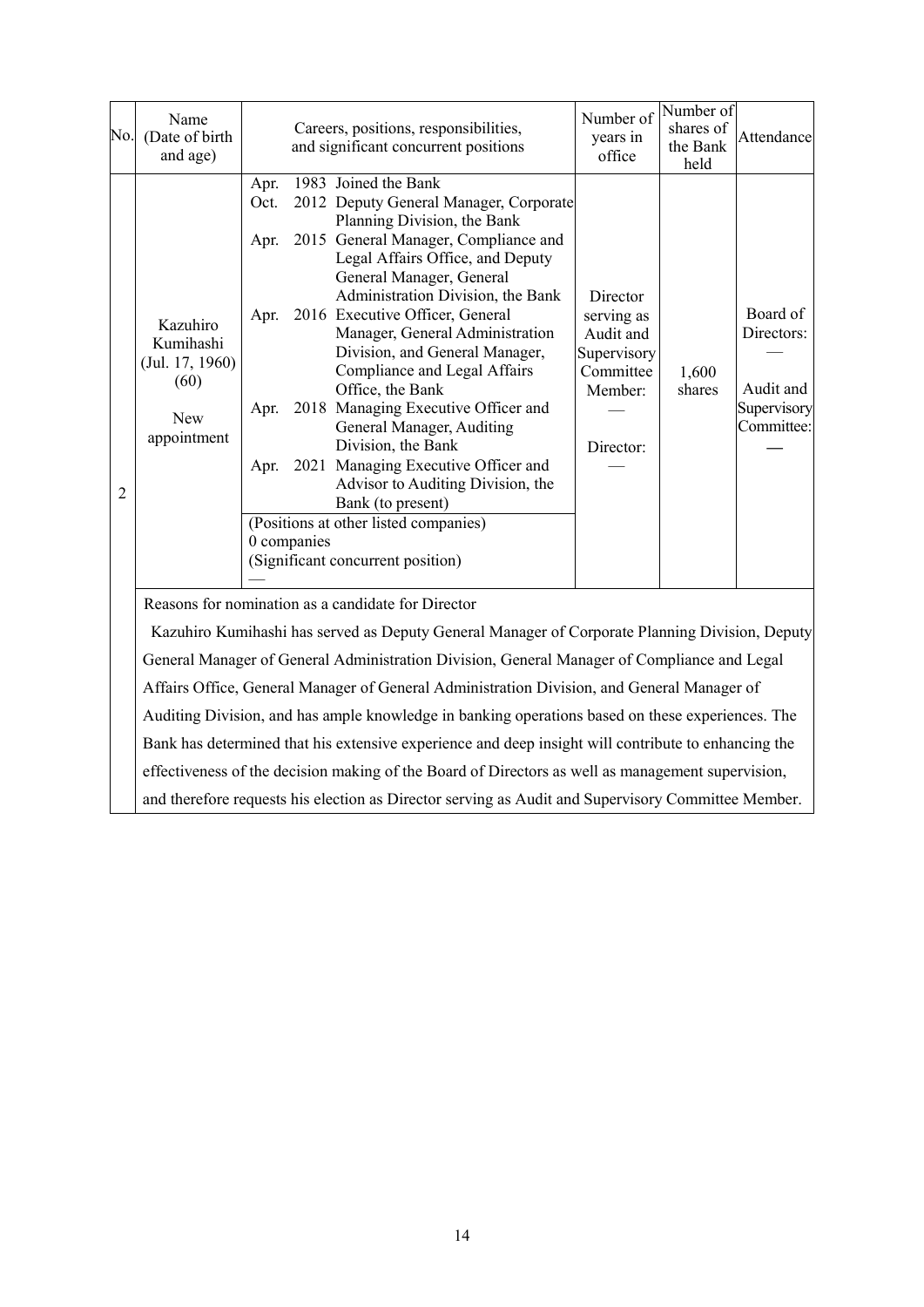|                | Name<br>No. (Date of birth<br>and age)                                                                                                               |                      |             | Careers, positions, responsibilities,<br>and significant concurrent positions                                                                                                                                                                                                                                                                                                                                                                                                                                                                                                                                                                                                                  | Number of<br>years in<br>office                                                         | Number of<br>shares of<br>the Bank<br>held | Attendance                                                       |  |
|----------------|------------------------------------------------------------------------------------------------------------------------------------------------------|----------------------|-------------|------------------------------------------------------------------------------------------------------------------------------------------------------------------------------------------------------------------------------------------------------------------------------------------------------------------------------------------------------------------------------------------------------------------------------------------------------------------------------------------------------------------------------------------------------------------------------------------------------------------------------------------------------------------------------------------------|-----------------------------------------------------------------------------------------|--------------------------------------------|------------------------------------------------------------------|--|
| $\overline{2}$ | Kazuhiro<br>Kumihashi<br>(Jul. 17, 1960)<br>(60)<br><b>New</b><br>appointment                                                                        | Apr.<br>Oct.<br>Apr. | 0 companies | 1983 Joined the Bank<br>2012 Deputy General Manager, Corporate<br>Planning Division, the Bank<br>2015 General Manager, Compliance and<br>Legal Affairs Office, and Deputy<br>General Manager, General<br>Administration Division, the Bank<br>Apr. 2016 Executive Officer, General<br>Manager, General Administration<br>Division, and General Manager,<br>Compliance and Legal Affairs<br>Office, the Bank<br>Apr. 2018 Managing Executive Officer and<br>General Manager, Auditing<br>Division, the Bank<br>Apr. 2021 Managing Executive Officer and<br>Advisor to Auditing Division, the<br>Bank (to present)<br>(Positions at other listed companies)<br>(Significant concurrent position) | Director<br>serving as<br>Audit and<br>Supervisory<br>Committee<br>Member:<br>Director: | 1,600<br>shares                            | Board of<br>Directors:<br>Audit and<br>Supervisory<br>Committee: |  |
|                | Reasons for nomination as a candidate for Director<br>Kazuhiro Kumihashi has served as Deputy General Manager of Corporate Planning Division, Deputy |                      |             |                                                                                                                                                                                                                                                                                                                                                                                                                                                                                                                                                                                                                                                                                                |                                                                                         |                                            |                                                                  |  |
|                |                                                                                                                                                      |                      |             | General Manager of General Administration Division, General Manager of Compliance and Legal                                                                                                                                                                                                                                                                                                                                                                                                                                                                                                                                                                                                    |                                                                                         |                                            |                                                                  |  |
|                |                                                                                                                                                      |                      |             | Affairs Office, General Manager of General Administration Division, and General Manager of                                                                                                                                                                                                                                                                                                                                                                                                                                                                                                                                                                                                     |                                                                                         |                                            |                                                                  |  |
|                |                                                                                                                                                      |                      |             | Auditing Division, and has ample knowledge in banking operations based on these experiences. The                                                                                                                                                                                                                                                                                                                                                                                                                                                                                                                                                                                               |                                                                                         |                                            |                                                                  |  |
|                |                                                                                                                                                      |                      |             | Bank has determined that his extensive experience and deep insight will contribute to enhancing the                                                                                                                                                                                                                                                                                                                                                                                                                                                                                                                                                                                            |                                                                                         |                                            |                                                                  |  |
|                |                                                                                                                                                      |                      |             | effectiveness of the decision making of the Board of Directors as well as management supervision,                                                                                                                                                                                                                                                                                                                                                                                                                                                                                                                                                                                              |                                                                                         |                                            |                                                                  |  |
|                |                                                                                                                                                      |                      |             | and therefore requests his election as Director serving as Audit and Supervisory Committee Member.                                                                                                                                                                                                                                                                                                                                                                                                                                                                                                                                                                                             |                                                                                         |                                            |                                                                  |  |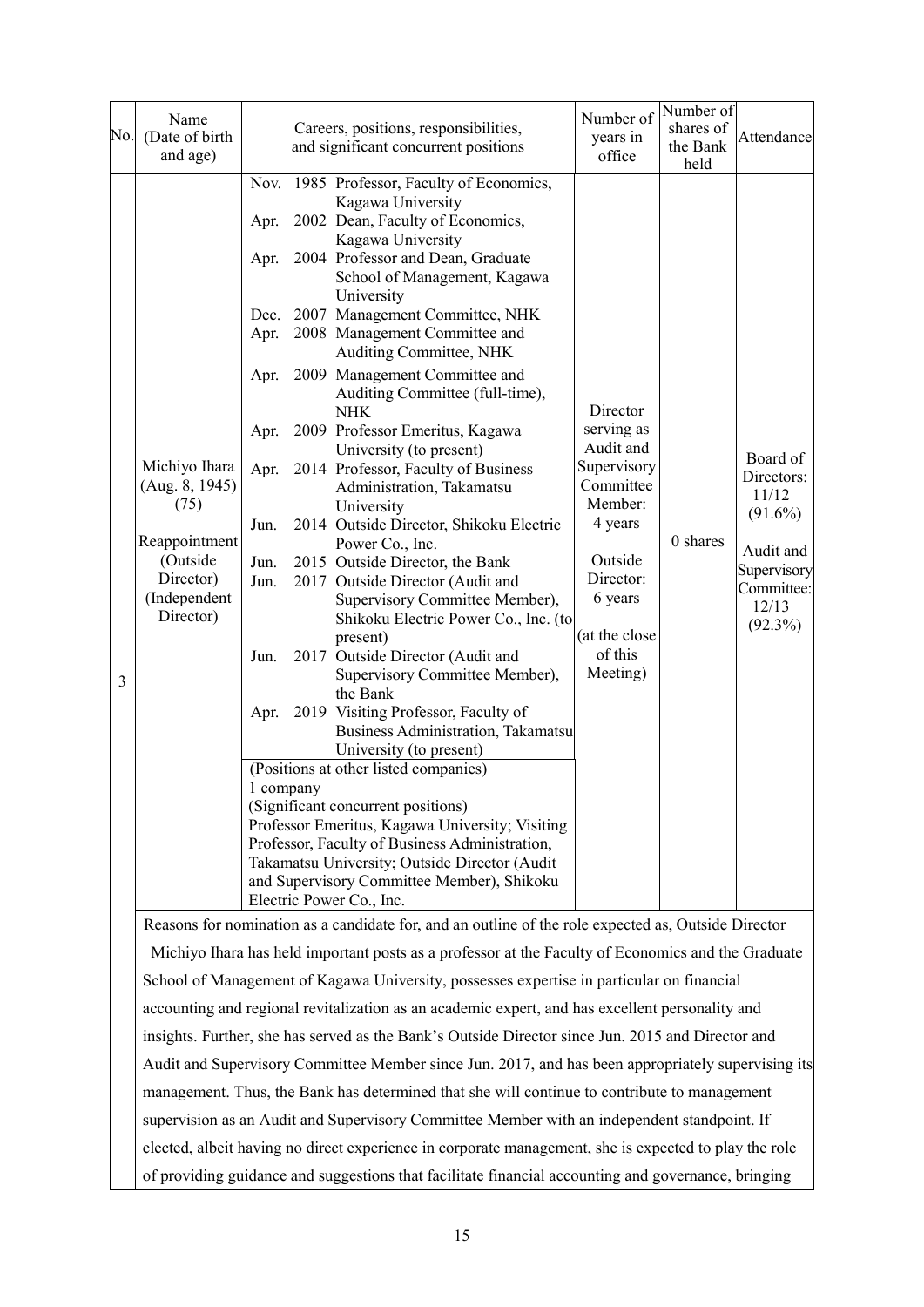| No.                                                                                                 | Name<br>(Date of birth<br>and age)                                                                             |                                                                                      |           | Careers, positions, responsibilities,<br>and significant concurrent positions                                                                                                                                                                                                                                                                                                                                                                                                                                                                                                                                                                                                                                                                                                                                                                                                                                                                                                                                                                                                                                                                                                                                                                                                        | Number of<br>years in<br>office                                                                                                                                  | Number of<br>shares of<br>the Bank<br>held | Attendance                                                                                                     |
|-----------------------------------------------------------------------------------------------------|----------------------------------------------------------------------------------------------------------------|--------------------------------------------------------------------------------------|-----------|--------------------------------------------------------------------------------------------------------------------------------------------------------------------------------------------------------------------------------------------------------------------------------------------------------------------------------------------------------------------------------------------------------------------------------------------------------------------------------------------------------------------------------------------------------------------------------------------------------------------------------------------------------------------------------------------------------------------------------------------------------------------------------------------------------------------------------------------------------------------------------------------------------------------------------------------------------------------------------------------------------------------------------------------------------------------------------------------------------------------------------------------------------------------------------------------------------------------------------------------------------------------------------------|------------------------------------------------------------------------------------------------------------------------------------------------------------------|--------------------------------------------|----------------------------------------------------------------------------------------------------------------|
| 3                                                                                                   | Michiyo Ihara<br>(Aug. 8, 1945)<br>(75)<br>Reappointment<br>(Outside<br>Director)<br>(Independent<br>Director) | Apr.<br>Apr.<br>Apr.<br>Apr.<br>Apr.<br>Apr.<br>Jun.<br>Jun.<br>Jun.<br>Jun.<br>Apr. | 1 company | Nov. 1985 Professor, Faculty of Economics,<br>Kagawa University<br>2002 Dean, Faculty of Economics,<br>Kagawa University<br>2004 Professor and Dean, Graduate<br>School of Management, Kagawa<br>University<br>Dec. 2007 Management Committee, NHK<br>2008 Management Committee and<br>Auditing Committee, NHK<br>2009 Management Committee and<br>Auditing Committee (full-time),<br><b>NHK</b><br>2009 Professor Emeritus, Kagawa<br>University (to present)<br>2014 Professor, Faculty of Business<br>Administration, Takamatsu<br>University<br>2014 Outside Director, Shikoku Electric<br>Power Co., Inc.<br>2015 Outside Director, the Bank<br>2017 Outside Director (Audit and<br>Supervisory Committee Member),<br>Shikoku Electric Power Co., Inc. (to<br>present)<br>2017 Outside Director (Audit and<br>Supervisory Committee Member),<br>the Bank<br>2019 Visiting Professor, Faculty of<br>Business Administration, Takamatsu<br>University (to present)<br>(Positions at other listed companies)<br>(Significant concurrent positions)<br>Professor Emeritus, Kagawa University; Visiting<br>Professor, Faculty of Business Administration,<br>Takamatsu University; Outside Director (Audit<br>and Supervisory Committee Member), Shikoku<br>Electric Power Co., Inc. | Director<br>serving as<br>Audit and<br>Supervisory<br>Committee<br>Member:<br>4 years<br>Outside<br>Director:<br>6 years<br>(at the close<br>of this<br>Meeting) | 0 shares                                   | Board of<br>Directors:<br>11/12<br>$(91.6\%)$<br>Audit and<br>Supervisory<br>Committee:<br>12/13<br>$(92.3\%)$ |
|                                                                                                     |                                                                                                                |                                                                                      |           | Reasons for nomination as a candidate for, and an outline of the role expected as, Outside Director                                                                                                                                                                                                                                                                                                                                                                                                                                                                                                                                                                                                                                                                                                                                                                                                                                                                                                                                                                                                                                                                                                                                                                                  |                                                                                                                                                                  |                                            |                                                                                                                |
|                                                                                                     |                                                                                                                |                                                                                      |           | Michiyo Ihara has held important posts as a professor at the Faculty of Economics and the Graduate                                                                                                                                                                                                                                                                                                                                                                                                                                                                                                                                                                                                                                                                                                                                                                                                                                                                                                                                                                                                                                                                                                                                                                                   |                                                                                                                                                                  |                                            |                                                                                                                |
|                                                                                                     |                                                                                                                |                                                                                      |           | School of Management of Kagawa University, possesses expertise in particular on financial                                                                                                                                                                                                                                                                                                                                                                                                                                                                                                                                                                                                                                                                                                                                                                                                                                                                                                                                                                                                                                                                                                                                                                                            |                                                                                                                                                                  |                                            |                                                                                                                |
|                                                                                                     |                                                                                                                |                                                                                      |           | accounting and regional revitalization as an academic expert, and has excellent personality and                                                                                                                                                                                                                                                                                                                                                                                                                                                                                                                                                                                                                                                                                                                                                                                                                                                                                                                                                                                                                                                                                                                                                                                      |                                                                                                                                                                  |                                            |                                                                                                                |
|                                                                                                     |                                                                                                                |                                                                                      |           | insights. Further, she has served as the Bank's Outside Director since Jun. 2015 and Director and                                                                                                                                                                                                                                                                                                                                                                                                                                                                                                                                                                                                                                                                                                                                                                                                                                                                                                                                                                                                                                                                                                                                                                                    |                                                                                                                                                                  |                                            |                                                                                                                |
|                                                                                                     |                                                                                                                |                                                                                      |           | Audit and Supervisory Committee Member since Jun. 2017, and has been appropriately supervising its                                                                                                                                                                                                                                                                                                                                                                                                                                                                                                                                                                                                                                                                                                                                                                                                                                                                                                                                                                                                                                                                                                                                                                                   |                                                                                                                                                                  |                                            |                                                                                                                |
|                                                                                                     |                                                                                                                |                                                                                      |           | management. Thus, the Bank has determined that she will continue to contribute to management                                                                                                                                                                                                                                                                                                                                                                                                                                                                                                                                                                                                                                                                                                                                                                                                                                                                                                                                                                                                                                                                                                                                                                                         |                                                                                                                                                                  |                                            |                                                                                                                |
|                                                                                                     |                                                                                                                |                                                                                      |           | supervision as an Audit and Supervisory Committee Member with an independent standpoint. If                                                                                                                                                                                                                                                                                                                                                                                                                                                                                                                                                                                                                                                                                                                                                                                                                                                                                                                                                                                                                                                                                                                                                                                          |                                                                                                                                                                  |                                            |                                                                                                                |
|                                                                                                     |                                                                                                                |                                                                                      |           | elected, albeit having no direct experience in corporate management, she is expected to play the role                                                                                                                                                                                                                                                                                                                                                                                                                                                                                                                                                                                                                                                                                                                                                                                                                                                                                                                                                                                                                                                                                                                                                                                |                                                                                                                                                                  |                                            |                                                                                                                |
| of providing guidance and suggestions that facilitate financial accounting and governance, bringing |                                                                                                                |                                                                                      |           |                                                                                                                                                                                                                                                                                                                                                                                                                                                                                                                                                                                                                                                                                                                                                                                                                                                                                                                                                                                                                                                                                                                                                                                                                                                                                      |                                                                                                                                                                  |                                            |                                                                                                                |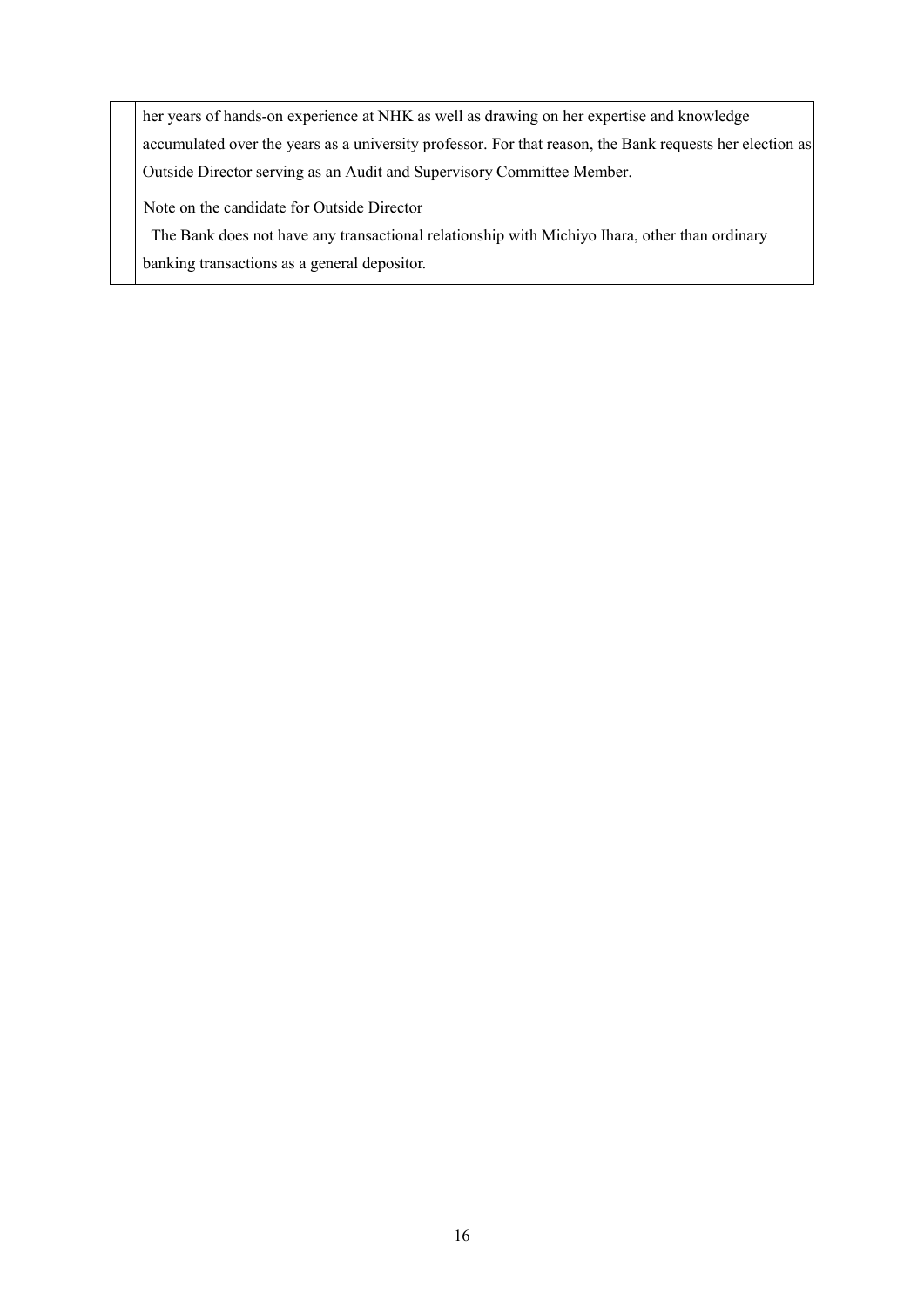her years of hands-on experience at NHK as well as drawing on her expertise and knowledge accumulated over the years as a university professor. For that reason, the Bank requests her election as Outside Director serving as an Audit and Supervisory Committee Member.

Note on the candidate for Outside Director

The Bank does not have any transactional relationship with Michiyo Ihara, other than ordinary

banking transactions as a general depositor.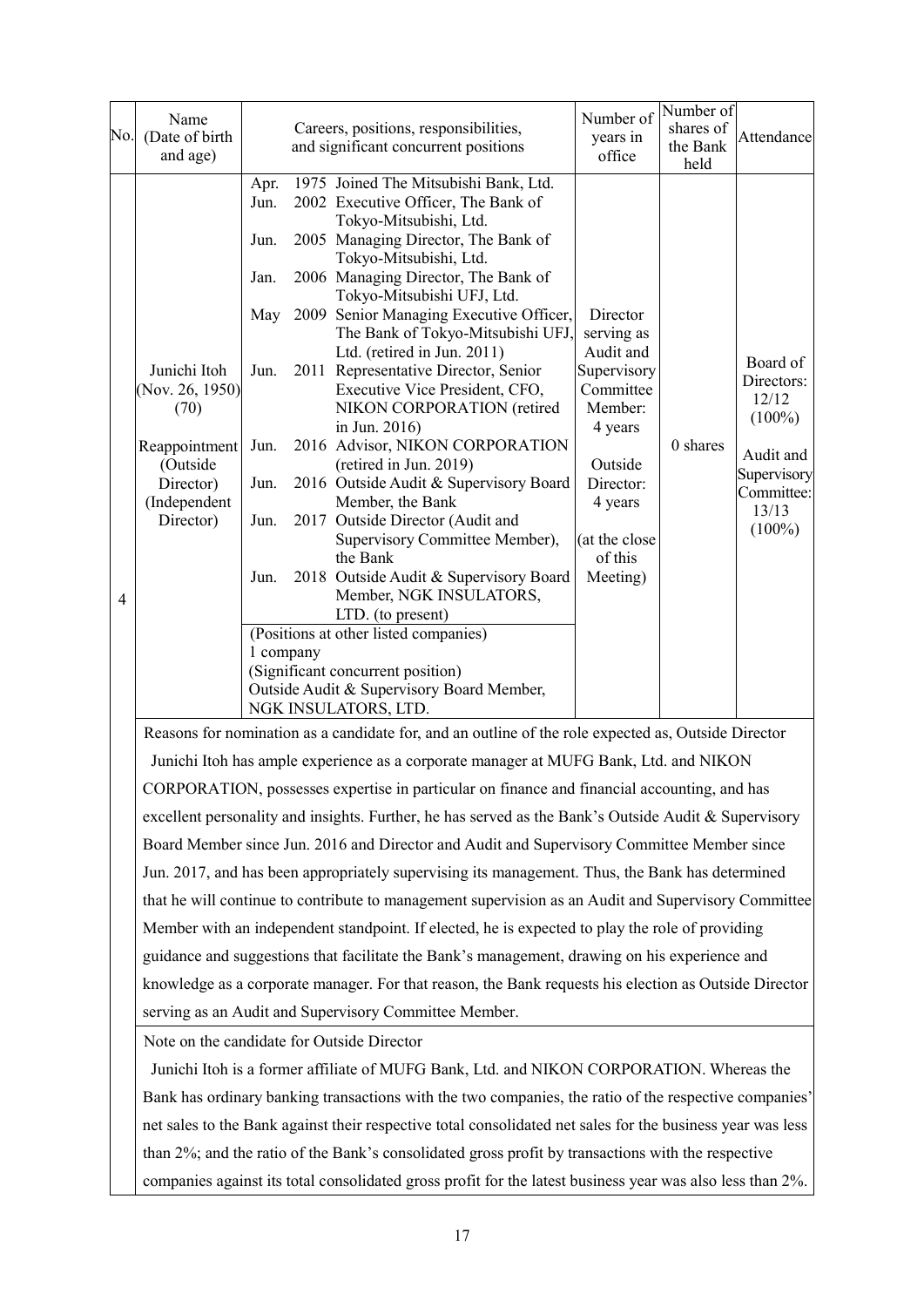| No.            | Name<br>(Date of birth<br>and age)                                                                                          |                                                                      |                                                                                       | Careers, positions, responsibilities,<br>and significant concurrent positions                                                                                                                                                                                                                                                                                                                                                                                                                                                                                                                                                                                                                                                                                                                                                                                                                                              | Number of<br>years in<br>office                                                                                                                                  | Number of<br>shares of<br>the Bank<br>held | Attendance                                                                                                   |  |  |
|----------------|-----------------------------------------------------------------------------------------------------------------------------|----------------------------------------------------------------------|---------------------------------------------------------------------------------------|----------------------------------------------------------------------------------------------------------------------------------------------------------------------------------------------------------------------------------------------------------------------------------------------------------------------------------------------------------------------------------------------------------------------------------------------------------------------------------------------------------------------------------------------------------------------------------------------------------------------------------------------------------------------------------------------------------------------------------------------------------------------------------------------------------------------------------------------------------------------------------------------------------------------------|------------------------------------------------------------------------------------------------------------------------------------------------------------------|--------------------------------------------|--------------------------------------------------------------------------------------------------------------|--|--|
| $\overline{4}$ | Junichi Itoh<br>(Nov. 26, 1950)<br>(70)<br>Reappointment<br>(Outside<br>Director)<br>(Independent<br>Director)              | Apr.<br>Jun.<br>Jun.<br>Jan.<br>Jun.<br>Jun.<br>Jun.<br>Jun.<br>Jun. | 1 company                                                                             | 1975 Joined The Mitsubishi Bank, Ltd.<br>2002 Executive Officer, The Bank of<br>Tokyo-Mitsubishi, Ltd.<br>2005 Managing Director, The Bank of<br>Tokyo-Mitsubishi, Ltd.<br>2006 Managing Director, The Bank of<br>Tokyo-Mitsubishi UFJ, Ltd.<br>May 2009 Senior Managing Executive Officer,<br>The Bank of Tokyo-Mitsubishi UFJ,<br>Ltd. (retired in Jun. 2011)<br>2011 Representative Director, Senior<br>Executive Vice President, CFO,<br>NIKON CORPORATION (retired<br>in Jun. 2016)<br>2016 Advisor, NIKON CORPORATION<br>(retired in Jun. 2019)<br>2016 Outside Audit & Supervisory Board<br>Member, the Bank<br>2017 Outside Director (Audit and<br>Supervisory Committee Member),<br>the Bank<br>2018 Outside Audit & Supervisory Board<br>Member, NGK INSULATORS,<br>LTD. (to present)<br>(Positions at other listed companies)<br>(Significant concurrent position)<br>Outside Audit & Supervisory Board Member, | Director<br>serving as<br>Audit and<br>Supervisory<br>Committee<br>Member:<br>4 years<br>Outside<br>Director:<br>4 years<br>(at the close<br>of this<br>Meeting) | 0 shares                                   | Board of<br>Directors:<br>12/12<br>$(100\%)$<br>Audit and<br>Supervisory<br>Committee:<br>13/13<br>$(100\%)$ |  |  |
|                | NGK INSULATORS, LTD.<br>Reasons for nomination as a candidate for, and an outline of the role expected as, Outside Director |                                                                      |                                                                                       |                                                                                                                                                                                                                                                                                                                                                                                                                                                                                                                                                                                                                                                                                                                                                                                                                                                                                                                            |                                                                                                                                                                  |                                            |                                                                                                              |  |  |
|                |                                                                                                                             |                                                                      | Junichi Itoh has ample experience as a corporate manager at MUFG Bank, Ltd. and NIKON |                                                                                                                                                                                                                                                                                                                                                                                                                                                                                                                                                                                                                                                                                                                                                                                                                                                                                                                            |                                                                                                                                                                  |                                            |                                                                                                              |  |  |
|                |                                                                                                                             |                                                                      |                                                                                       | CORPORATION, possesses expertise in particular on finance and financial accounting, and has                                                                                                                                                                                                                                                                                                                                                                                                                                                                                                                                                                                                                                                                                                                                                                                                                                |                                                                                                                                                                  |                                            |                                                                                                              |  |  |
|                |                                                                                                                             |                                                                      |                                                                                       | excellent personality and insights. Further, he has served as the Bank's Outside Audit & Supervisory                                                                                                                                                                                                                                                                                                                                                                                                                                                                                                                                                                                                                                                                                                                                                                                                                       |                                                                                                                                                                  |                                            |                                                                                                              |  |  |
|                |                                                                                                                             |                                                                      |                                                                                       | Board Member since Jun. 2016 and Director and Audit and Supervisory Committee Member since                                                                                                                                                                                                                                                                                                                                                                                                                                                                                                                                                                                                                                                                                                                                                                                                                                 |                                                                                                                                                                  |                                            |                                                                                                              |  |  |
|                |                                                                                                                             |                                                                      |                                                                                       | Jun. 2017, and has been appropriately supervising its management. Thus, the Bank has determined                                                                                                                                                                                                                                                                                                                                                                                                                                                                                                                                                                                                                                                                                                                                                                                                                            |                                                                                                                                                                  |                                            |                                                                                                              |  |  |
|                |                                                                                                                             |                                                                      |                                                                                       | that he will continue to contribute to management supervision as an Audit and Supervisory Committee                                                                                                                                                                                                                                                                                                                                                                                                                                                                                                                                                                                                                                                                                                                                                                                                                        |                                                                                                                                                                  |                                            |                                                                                                              |  |  |
|                |                                                                                                                             |                                                                      |                                                                                       | Member with an independent standpoint. If elected, he is expected to play the role of providing                                                                                                                                                                                                                                                                                                                                                                                                                                                                                                                                                                                                                                                                                                                                                                                                                            |                                                                                                                                                                  |                                            |                                                                                                              |  |  |
|                |                                                                                                                             |                                                                      |                                                                                       | guidance and suggestions that facilitate the Bank's management, drawing on his experience and                                                                                                                                                                                                                                                                                                                                                                                                                                                                                                                                                                                                                                                                                                                                                                                                                              |                                                                                                                                                                  |                                            |                                                                                                              |  |  |
|                |                                                                                                                             |                                                                      |                                                                                       | knowledge as a corporate manager. For that reason, the Bank requests his election as Outside Director                                                                                                                                                                                                                                                                                                                                                                                                                                                                                                                                                                                                                                                                                                                                                                                                                      |                                                                                                                                                                  |                                            |                                                                                                              |  |  |
|                |                                                                                                                             |                                                                      |                                                                                       | serving as an Audit and Supervisory Committee Member.                                                                                                                                                                                                                                                                                                                                                                                                                                                                                                                                                                                                                                                                                                                                                                                                                                                                      |                                                                                                                                                                  |                                            |                                                                                                              |  |  |
|                | Note on the candidate for Outside Director                                                                                  |                                                                      |                                                                                       |                                                                                                                                                                                                                                                                                                                                                                                                                                                                                                                                                                                                                                                                                                                                                                                                                                                                                                                            |                                                                                                                                                                  |                                            |                                                                                                              |  |  |
|                |                                                                                                                             |                                                                      |                                                                                       | Junichi Itoh is a former affiliate of MUFG Bank, Ltd. and NIKON CORPORATION. Whereas the                                                                                                                                                                                                                                                                                                                                                                                                                                                                                                                                                                                                                                                                                                                                                                                                                                   |                                                                                                                                                                  |                                            |                                                                                                              |  |  |
|                | Bank has ordinary banking transactions with the two companies, the ratio of the respective companies'                       |                                                                      |                                                                                       |                                                                                                                                                                                                                                                                                                                                                                                                                                                                                                                                                                                                                                                                                                                                                                                                                                                                                                                            |                                                                                                                                                                  |                                            |                                                                                                              |  |  |

net sales to the Bank against their respective total consolidated net sales for the business year was less than 2%; and the ratio of the Bank's consolidated gross profit by transactions with the respective companies against its total consolidated gross profit for the latest business year was also less than 2%.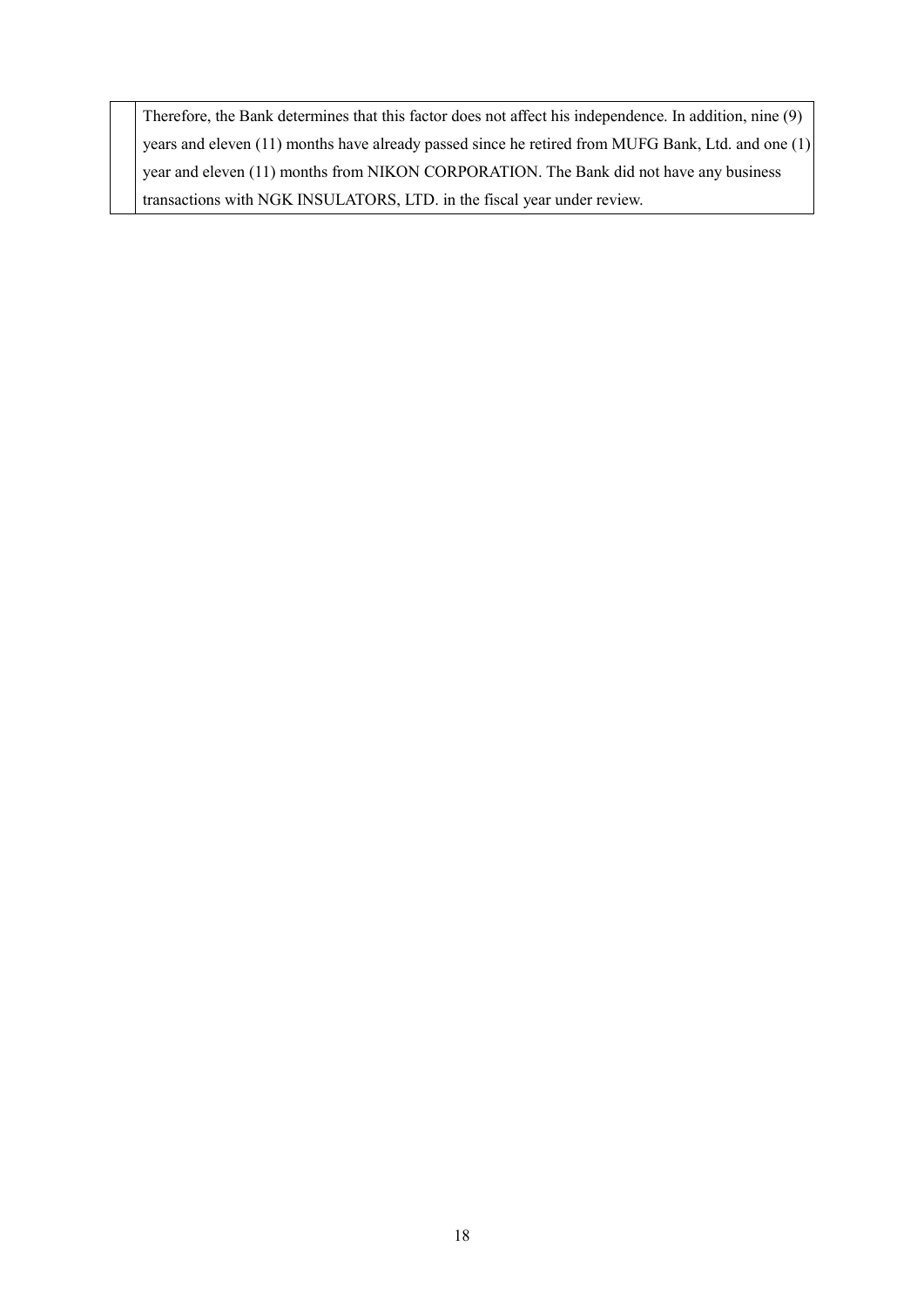Therefore, the Bank determines that this factor does not affect his independence. In addition, nine (9) years and eleven (11) months have already passed since he retired from MUFG Bank, Ltd. and one (1) year and eleven (11) months from NIKON CORPORATION. The Bank did not have any business transactions with NGK INSULATORS, LTD. in the fiscal year under review.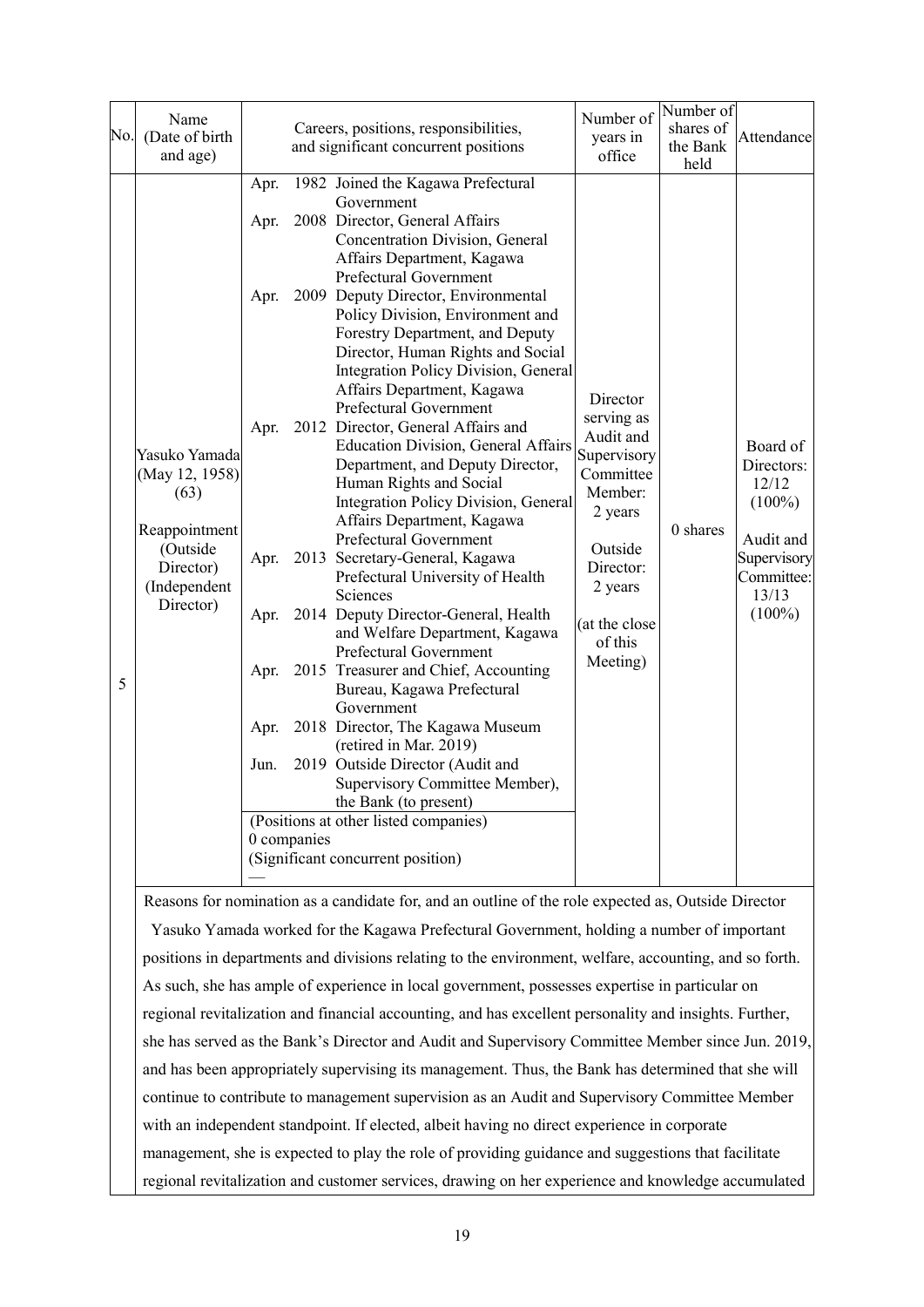|     | Name                                                                                          |                                       |                                                                                      |                                                                                                                                                       | Number of                | Number of                        |             |  |
|-----|-----------------------------------------------------------------------------------------------|---------------------------------------|--------------------------------------------------------------------------------------|-------------------------------------------------------------------------------------------------------------------------------------------------------|--------------------------|----------------------------------|-------------|--|
| No. | (Date of birth                                                                                | Careers, positions, responsibilities, |                                                                                      |                                                                                                                                                       | years in                 | shares of                        | Attendance  |  |
|     | and age)                                                                                      |                                       |                                                                                      | and significant concurrent positions                                                                                                                  | office                   | the Bank                         |             |  |
|     |                                                                                               |                                       |                                                                                      |                                                                                                                                                       |                          | held                             |             |  |
|     |                                                                                               | Apr.                                  |                                                                                      | 1982 Joined the Kagawa Prefectural                                                                                                                    |                          |                                  |             |  |
|     |                                                                                               |                                       |                                                                                      | Government                                                                                                                                            |                          |                                  |             |  |
|     |                                                                                               | Apr.                                  |                                                                                      | 2008 Director, General Affairs                                                                                                                        |                          |                                  |             |  |
|     |                                                                                               |                                       |                                                                                      | Concentration Division, General                                                                                                                       |                          |                                  |             |  |
|     |                                                                                               |                                       |                                                                                      | Affairs Department, Kagawa<br>Prefectural Government                                                                                                  |                          |                                  |             |  |
|     |                                                                                               | Apr.                                  |                                                                                      | 2009 Deputy Director, Environmental                                                                                                                   |                          |                                  |             |  |
|     |                                                                                               |                                       |                                                                                      | Policy Division, Environment and                                                                                                                      |                          |                                  |             |  |
|     |                                                                                               |                                       |                                                                                      | Forestry Department, and Deputy                                                                                                                       |                          |                                  |             |  |
|     |                                                                                               |                                       |                                                                                      | Director, Human Rights and Social                                                                                                                     |                          |                                  |             |  |
|     |                                                                                               |                                       |                                                                                      | <b>Integration Policy Division, General</b>                                                                                                           |                          |                                  |             |  |
|     |                                                                                               |                                       |                                                                                      | Affairs Department, Kagawa                                                                                                                            |                          |                                  |             |  |
|     |                                                                                               |                                       |                                                                                      | Prefectural Government                                                                                                                                | Director                 |                                  |             |  |
|     |                                                                                               | Apr.                                  |                                                                                      | 2012 Director, General Affairs and                                                                                                                    | serving as               |                                  |             |  |
|     | Yasuko Yamada                                                                                 |                                       |                                                                                      | <b>Education Division, General Affairs</b>                                                                                                            | Audit and<br>Supervisory |                                  | Board of    |  |
|     | (May 12, 1958)<br>(63)<br>Reappointment<br>(Outside<br>Director)<br>(Independent<br>Director) |                                       |                                                                                      | Department, and Deputy Director,                                                                                                                      | Committee                |                                  | Directors:  |  |
|     |                                                                                               |                                       |                                                                                      | Human Rights and Social                                                                                                                               | Member:                  |                                  | 12/12       |  |
|     |                                                                                               |                                       |                                                                                      | Integration Policy Division, General                                                                                                                  | 2 years                  | 0 shares                         | $(100\%)$   |  |
|     |                                                                                               |                                       |                                                                                      | Affairs Department, Kagawa                                                                                                                            |                          |                                  |             |  |
|     |                                                                                               |                                       |                                                                                      | Prefectural Government                                                                                                                                | Outside                  |                                  | Audit and   |  |
|     |                                                                                               | Apr.                                  |                                                                                      | 2013 Secretary-General, Kagawa                                                                                                                        | Director:                |                                  | Supervisory |  |
|     |                                                                                               | Apr.                                  | Prefectural University of Health<br>Sciences<br>2014 Deputy Director-General, Health | 2 years                                                                                                                                               |                          | Committee:<br>13/13<br>$(100\%)$ |             |  |
|     |                                                                                               |                                       |                                                                                      |                                                                                                                                                       |                          |                                  |             |  |
|     |                                                                                               |                                       |                                                                                      | and Welfare Department, Kagawa<br>of this<br>Prefectural Government<br>Meeting)<br>2015 Treasurer and Chief, Accounting<br>Bureau, Kagawa Prefectural | (at the close            |                                  |             |  |
|     |                                                                                               |                                       |                                                                                      |                                                                                                                                                       |                          |                                  |             |  |
|     |                                                                                               | Apr.                                  |                                                                                      |                                                                                                                                                       |                          |                                  |             |  |
| 5   |                                                                                               |                                       |                                                                                      |                                                                                                                                                       |                          |                                  |             |  |
|     |                                                                                               |                                       |                                                                                      | Government                                                                                                                                            |                          |                                  |             |  |
|     |                                                                                               | Apr.                                  |                                                                                      | 2018 Director, The Kagawa Museum                                                                                                                      |                          |                                  |             |  |
|     |                                                                                               |                                       |                                                                                      | (retired in Mar. 2019)                                                                                                                                |                          |                                  |             |  |
|     |                                                                                               | Jun.                                  |                                                                                      | 2019 Outside Director (Audit and                                                                                                                      |                          |                                  |             |  |
|     |                                                                                               |                                       |                                                                                      | Supervisory Committee Member),                                                                                                                        |                          |                                  |             |  |
|     |                                                                                               |                                       |                                                                                      | the Bank (to present)                                                                                                                                 |                          |                                  |             |  |
|     |                                                                                               |                                       |                                                                                      | (Positions at other listed companies)                                                                                                                 |                          |                                  |             |  |
|     |                                                                                               |                                       | 0 companies                                                                          |                                                                                                                                                       |                          |                                  |             |  |
|     |                                                                                               |                                       |                                                                                      | (Significant concurrent position)                                                                                                                     |                          |                                  |             |  |
|     |                                                                                               |                                       |                                                                                      | Reasons for nomination as a candidate for, and an outline of the role expected as, Outside Director                                                   |                          |                                  |             |  |
|     |                                                                                               |                                       |                                                                                      | Yasuko Yamada worked for the Kagawa Prefectural Government, holding a number of important                                                             |                          |                                  |             |  |
|     |                                                                                               |                                       |                                                                                      | positions in departments and divisions relating to the environment, welfare, accounting, and so forth.                                                |                          |                                  |             |  |
|     | As such she has ample of experience in local government possesses expertise in particular on  |                                       |                                                                                      |                                                                                                                                                       |                          |                                  |             |  |

As such, she has ample of experience in local government, possesses expertise in particular on regional revitalization and financial accounting, and has excellent personality and insights. Further, she has served as the Bank's Director and Audit and Supervisory Committee Member since Jun. 2019, and has been appropriately supervising its management. Thus, the Bank has determined that she will continue to contribute to management supervision as an Audit and Supervisory Committee Member with an independent standpoint. If elected, albeit having no direct experience in corporate management, she is expected to play the role of providing guidance and suggestions that facilitate regional revitalization and customer services, drawing on her experience and knowledge accumulated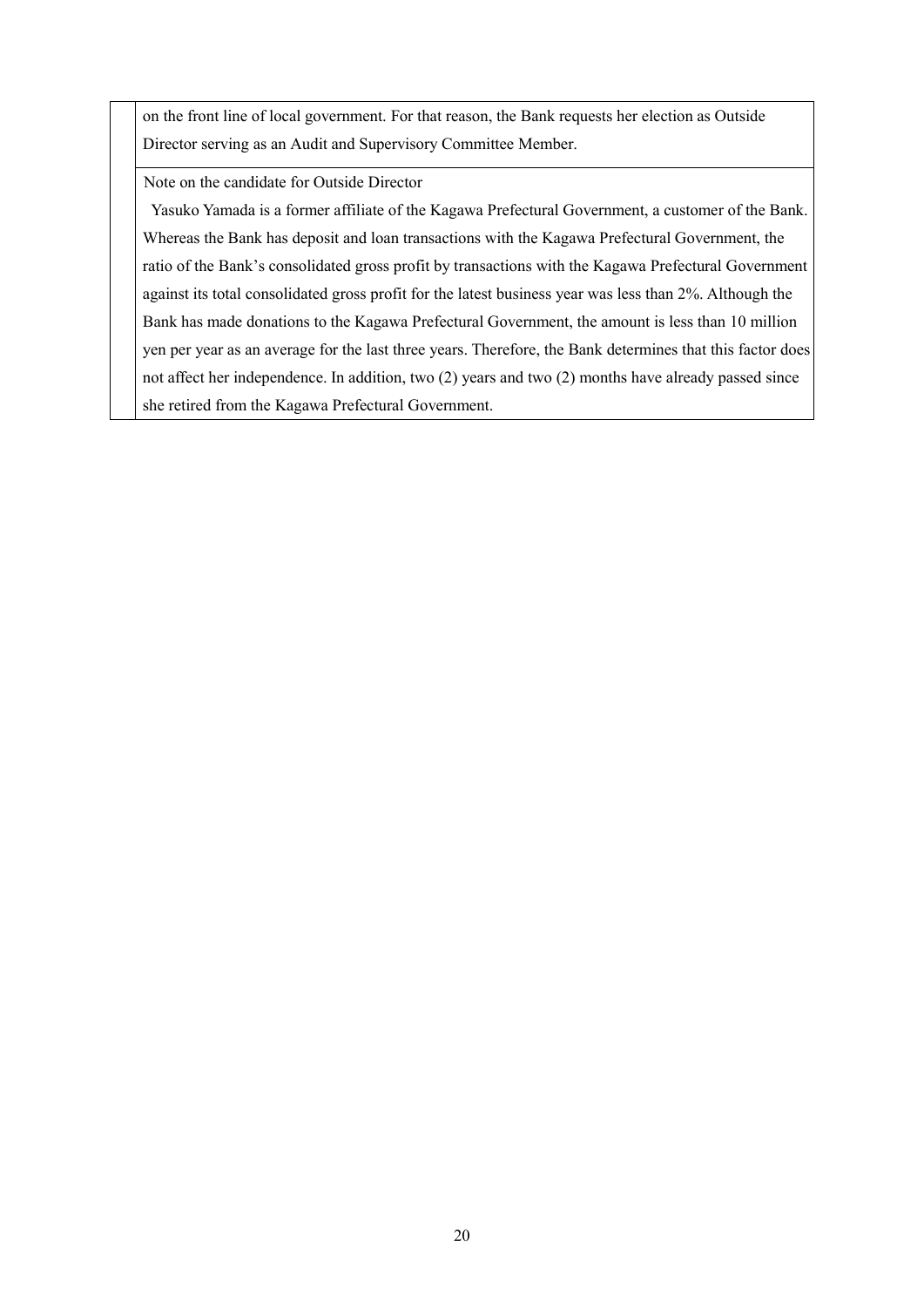on the front line of local government. For that reason, the Bank requests her election as Outside Director serving as an Audit and Supervisory Committee Member.

Note on the candidate for Outside Director

Yasuko Yamada is a former affiliate of the Kagawa Prefectural Government, a customer of the Bank. Whereas the Bank has deposit and loan transactions with the Kagawa Prefectural Government, the ratio of the Bank's consolidated gross profit by transactions with the Kagawa Prefectural Government against its total consolidated gross profit for the latest business year was less than 2%. Although the Bank has made donations to the Kagawa Prefectural Government, the amount is less than 10 million yen per year as an average for the last three years. Therefore, the Bank determines that this factor does not affect her independence. In addition, two (2) years and two (2) months have already passed since she retired from the Kagawa Prefectural Government.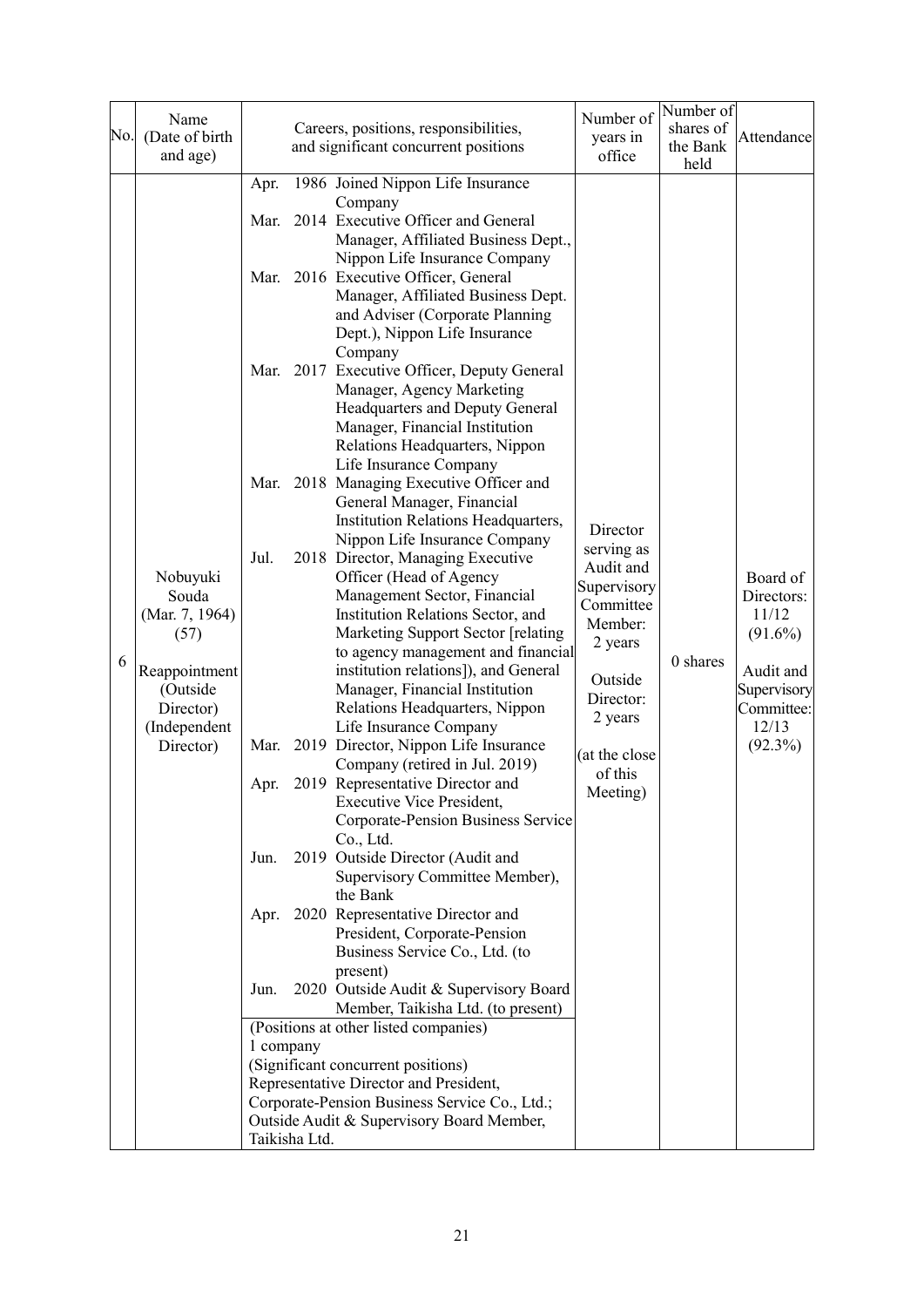| No. | Name<br>(Date of birth<br>and age)    | Careers, positions, responsibilities,<br>and significant concurrent positions |               | Number of<br>years in<br>office                                                                                                           | Number of<br>shares of<br>the Bank<br>held | Attendance |                                    |
|-----|---------------------------------------|-------------------------------------------------------------------------------|---------------|-------------------------------------------------------------------------------------------------------------------------------------------|--------------------------------------------|------------|------------------------------------|
|     |                                       | Apr.                                                                          |               | 1986 Joined Nippon Life Insurance                                                                                                         |                                            |            |                                    |
|     |                                       | Mar.                                                                          |               | Company<br>2014 Executive Officer and General<br>Manager, Affiliated Business Dept.,                                                      |                                            |            |                                    |
|     |                                       | Mar.                                                                          |               | Nippon Life Insurance Company<br>2016 Executive Officer, General<br>Manager, Affiliated Business Dept.                                    |                                            |            |                                    |
|     |                                       |                                                                               |               | and Adviser (Corporate Planning<br>Dept.), Nippon Life Insurance<br>Company                                                               |                                            |            |                                    |
|     |                                       | Mar.                                                                          |               | 2017 Executive Officer, Deputy General<br>Manager, Agency Marketing<br>Headquarters and Deputy General                                    |                                            |            |                                    |
|     |                                       |                                                                               |               | Manager, Financial Institution<br>Relations Headquarters, Nippon<br>Life Insurance Company                                                |                                            |            |                                    |
|     |                                       | Mar.                                                                          |               | 2018 Managing Executive Officer and<br>General Manager, Financial<br>Institution Relations Headquarters,<br>Nippon Life Insurance Company | Director                                   |            |                                    |
|     | Nobuyuki                              | Jul.                                                                          |               | 2018 Director, Managing Executive<br>Officer (Head of Agency                                                                              | serving as<br>Audit and<br>Supervisory     |            | Board of                           |
|     | Souda<br>(Mar. 7, 1964)<br>(57)       |                                                                               |               | Management Sector, Financial<br>Institution Relations Sector, and<br>Marketing Support Sector [relating                                   | Committee<br>Member:                       |            | Directors:<br>11/12<br>$(91.6\%)$  |
| 6   | Reappointment                         |                                                                               |               | to agency management and financial<br>institution relations]), and General                                                                | 2 years<br>Outside                         | 0 shares   | Audit and                          |
|     | (Outside<br>Director)<br>(Independent |                                                                               |               | Manager, Financial Institution<br>Relations Headquarters, Nippon<br>Life Insurance Company                                                | Director:<br>2 years                       |            | Supervisory<br>Committee:<br>12/13 |
|     | Director)                             |                                                                               |               | Mar. 2019 Director, Nippon Life Insurance<br>Company (retired in Jul. 2019)                                                               | (at the close<br>of this                   |            | $(92.3\%)$                         |
|     |                                       | Apr.                                                                          |               | 2019 Representative Director and<br>Executive Vice President,<br>Corporate-Pension Business Service                                       | Meeting)                                   |            |                                    |
|     |                                       | Jun.                                                                          |               | Co., Ltd.<br>2019 Outside Director (Audit and                                                                                             |                                            |            |                                    |
|     |                                       | Apr.                                                                          |               | Supervisory Committee Member),<br>the Bank<br>2020 Representative Director and                                                            |                                            |            |                                    |
|     |                                       |                                                                               |               | President, Corporate-Pension<br>Business Service Co., Ltd. (to                                                                            |                                            |            |                                    |
|     |                                       | Jun.                                                                          |               | present)<br>2020 Outside Audit & Supervisory Board<br>Member, Taikisha Ltd. (to present)                                                  |                                            |            |                                    |
|     |                                       |                                                                               |               | (Positions at other listed companies)                                                                                                     |                                            |            |                                    |
|     |                                       | 1 company                                                                     |               |                                                                                                                                           |                                            |            |                                    |
|     |                                       |                                                                               |               | (Significant concurrent positions)                                                                                                        |                                            |            |                                    |
|     |                                       |                                                                               |               | Representative Director and President,<br>Corporate-Pension Business Service Co., Ltd.;                                                   |                                            |            |                                    |
|     |                                       |                                                                               |               | Outside Audit & Supervisory Board Member,                                                                                                 |                                            |            |                                    |
|     |                                       |                                                                               | Taikisha Ltd. |                                                                                                                                           |                                            |            |                                    |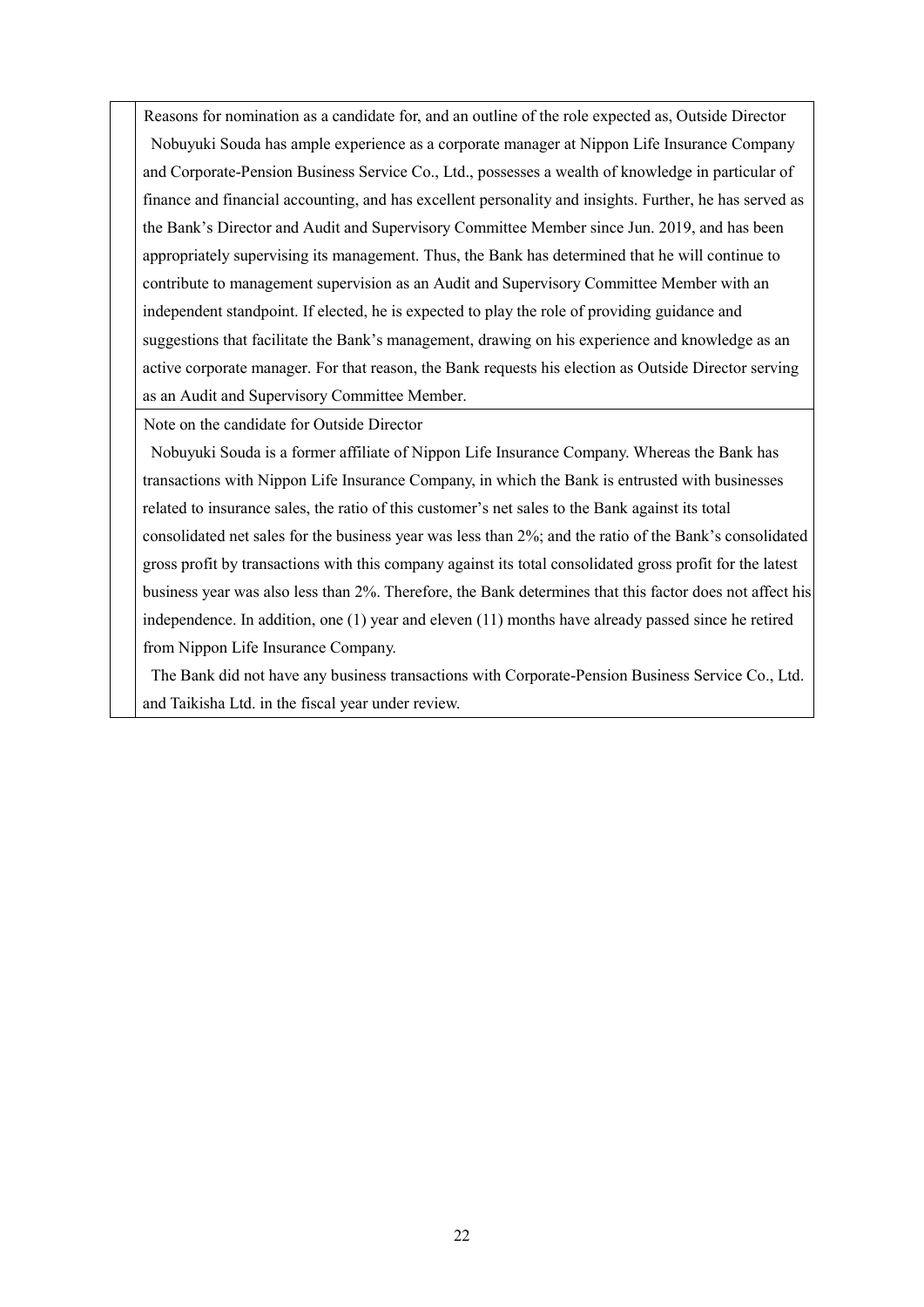Reasons for nomination as a candidate for, and an outline of the role expected as, Outside Director Nobuyuki Souda has ample experience as a corporate manager at Nippon Life Insurance Company and Corporate-Pension Business Service Co., Ltd., possesses a wealth of knowledge in particular of finance and financial accounting, and has excellent personality and insights. Further, he has served as the Bank's Director and Audit and Supervisory Committee Member since Jun. 2019, and has been appropriately supervising its management. Thus, the Bank has determined that he will continue to contribute to management supervision as an Audit and Supervisory Committee Member with an independent standpoint. If elected, he is expected to play the role of providing guidance and suggestions that facilitate the Bank's management, drawing on his experience and knowledge as an active corporate manager. For that reason, the Bank requests his election as Outside Director serving as an Audit and Supervisory Committee Member.

Note on the candidate for Outside Director

Nobuyuki Souda is a former affiliate of Nippon Life Insurance Company. Whereas the Bank has transactions with Nippon Life Insurance Company, in which the Bank is entrusted with businesses related to insurance sales, the ratio of this customer's net sales to the Bank against its total consolidated net sales for the business year was less than 2%; and the ratio of the Bank's consolidated gross profit by transactions with this company against its total consolidated gross profit for the latest business year was also less than 2%. Therefore, the Bank determines that this factor does not affect his independence. In addition, one (1) year and eleven (11) months have already passed since he retired from Nippon Life Insurance Company.

The Bank did not have any business transactions with Corporate-Pension Business Service Co., Ltd. and Taikisha Ltd. in the fiscal year under review.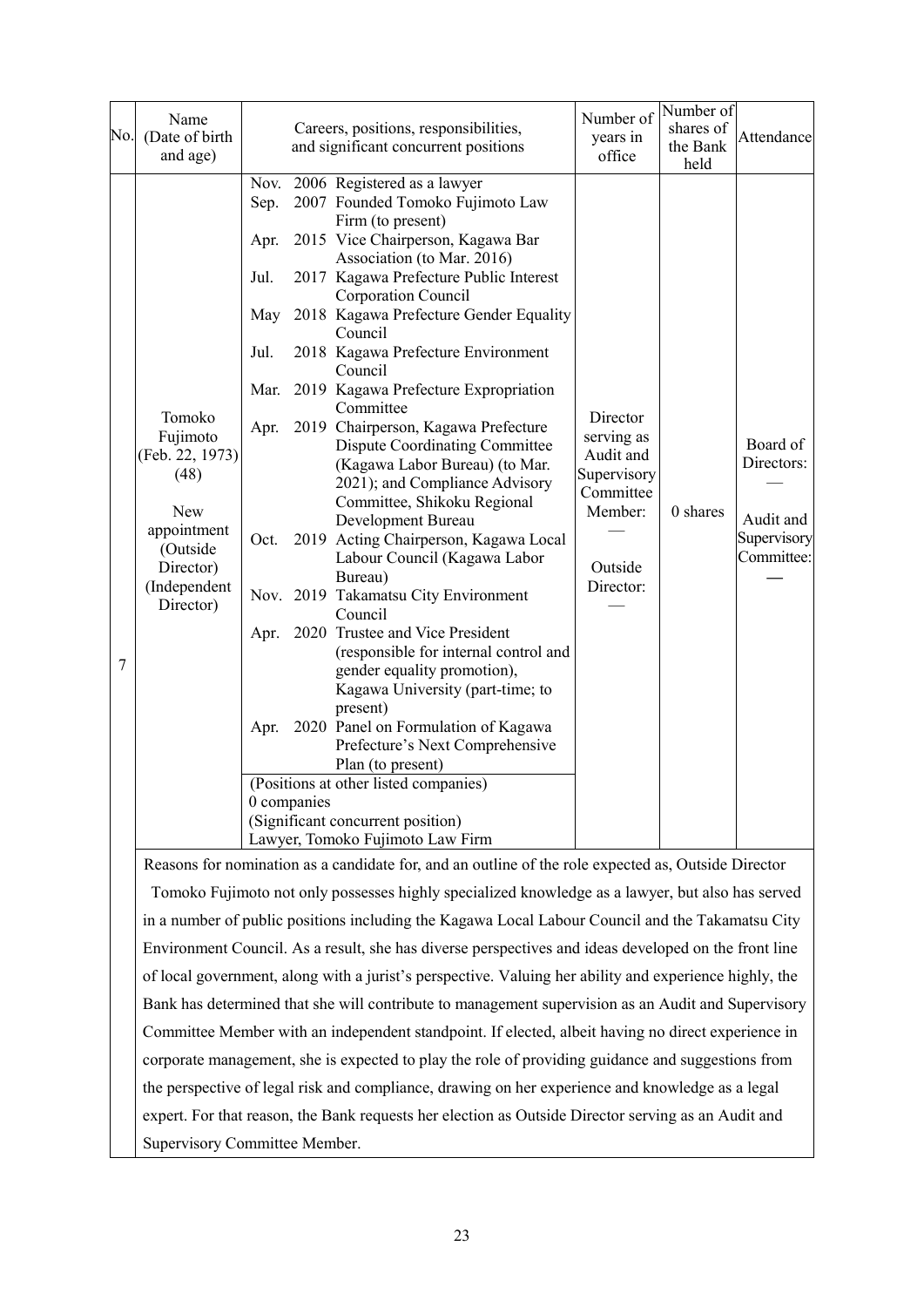| No. | Name<br>(Date of birth<br>and age)                                                                                               |                                                                     |             | Careers, positions, responsibilities,<br>and significant concurrent positions                                                                                                                                                                                                                                                                                                                                                                                                                                                                                                                                                                                                                                                                                                                                                                                                                                                                                                                                                                                                                                             | Number of<br>years in<br>office                                                                    | Number of<br>shares of<br>the Bank<br>held | Attendance                                                       |
|-----|----------------------------------------------------------------------------------------------------------------------------------|---------------------------------------------------------------------|-------------|---------------------------------------------------------------------------------------------------------------------------------------------------------------------------------------------------------------------------------------------------------------------------------------------------------------------------------------------------------------------------------------------------------------------------------------------------------------------------------------------------------------------------------------------------------------------------------------------------------------------------------------------------------------------------------------------------------------------------------------------------------------------------------------------------------------------------------------------------------------------------------------------------------------------------------------------------------------------------------------------------------------------------------------------------------------------------------------------------------------------------|----------------------------------------------------------------------------------------------------|--------------------------------------------|------------------------------------------------------------------|
| 7   | Tomoko<br>Fujimoto<br>(Feb. 22, 1973)<br>(48)<br><b>New</b><br>appointment<br>(Outside<br>Director)<br>(Independent<br>Director) | Sep.<br>Apr.<br>Jul.<br>May<br>Jul.<br>Apr.<br>Oct.<br>Apr.<br>Apr. | 0 companies | Nov. 2006 Registered as a lawyer<br>2007 Founded Tomoko Fujimoto Law<br>Firm (to present)<br>2015 Vice Chairperson, Kagawa Bar<br>Association (to Mar. 2016)<br>2017 Kagawa Prefecture Public Interest<br>Corporation Council<br>2018 Kagawa Prefecture Gender Equality<br>Council<br>2018 Kagawa Prefecture Environment<br>Council<br>Mar. 2019 Kagawa Prefecture Expropriation<br>Committee<br>2019 Chairperson, Kagawa Prefecture<br><b>Dispute Coordinating Committee</b><br>(Kagawa Labor Bureau) (to Mar.<br>2021); and Compliance Advisory<br>Committee, Shikoku Regional<br>Development Bureau<br>2019 Acting Chairperson, Kagawa Local<br>Labour Council (Kagawa Labor<br>Bureau)<br>Nov. 2019 Takamatsu City Environment<br>Council<br>2020 Trustee and Vice President<br>(responsible for internal control and<br>gender equality promotion),<br>Kagawa University (part-time; to<br>present)<br>2020 Panel on Formulation of Kagawa<br>Prefecture's Next Comprehensive<br>Plan (to present)<br>(Positions at other listed companies)<br>(Significant concurrent position)<br>Lawyer, Tomoko Fujimoto Law Firm | Director<br>serving as<br>Audit and<br>Supervisory<br>Committee<br>Member:<br>Outside<br>Director: | 0 shares                                   | Board of<br>Directors:<br>Audit and<br>Supervisory<br>Committee: |
|     |                                                                                                                                  |                                                                     |             | Reasons for nomination as a candidate for, and an outline of the role expected as, Outside Director<br>Tomoko Fujimoto not only possesses highly specialized knowledge as a lawyer, but also has served                                                                                                                                                                                                                                                                                                                                                                                                                                                                                                                                                                                                                                                                                                                                                                                                                                                                                                                   |                                                                                                    |                                            |                                                                  |

in a number of public positions including the Kagawa Local Labour Council and the Takamatsu City Environment Council. As a result, she has diverse perspectives and ideas developed on the front line of local government, along with a jurist's perspective. Valuing her ability and experience highly, the Bank has determined that she will contribute to management supervision as an Audit and Supervisory Committee Member with an independent standpoint. If elected, albeit having no direct experience in corporate management, she is expected to play the role of providing guidance and suggestions from the perspective of legal risk and compliance, drawing on her experience and knowledge as a legal expert. For that reason, the Bank requests her election as Outside Director serving as an Audit and Supervisory Committee Member.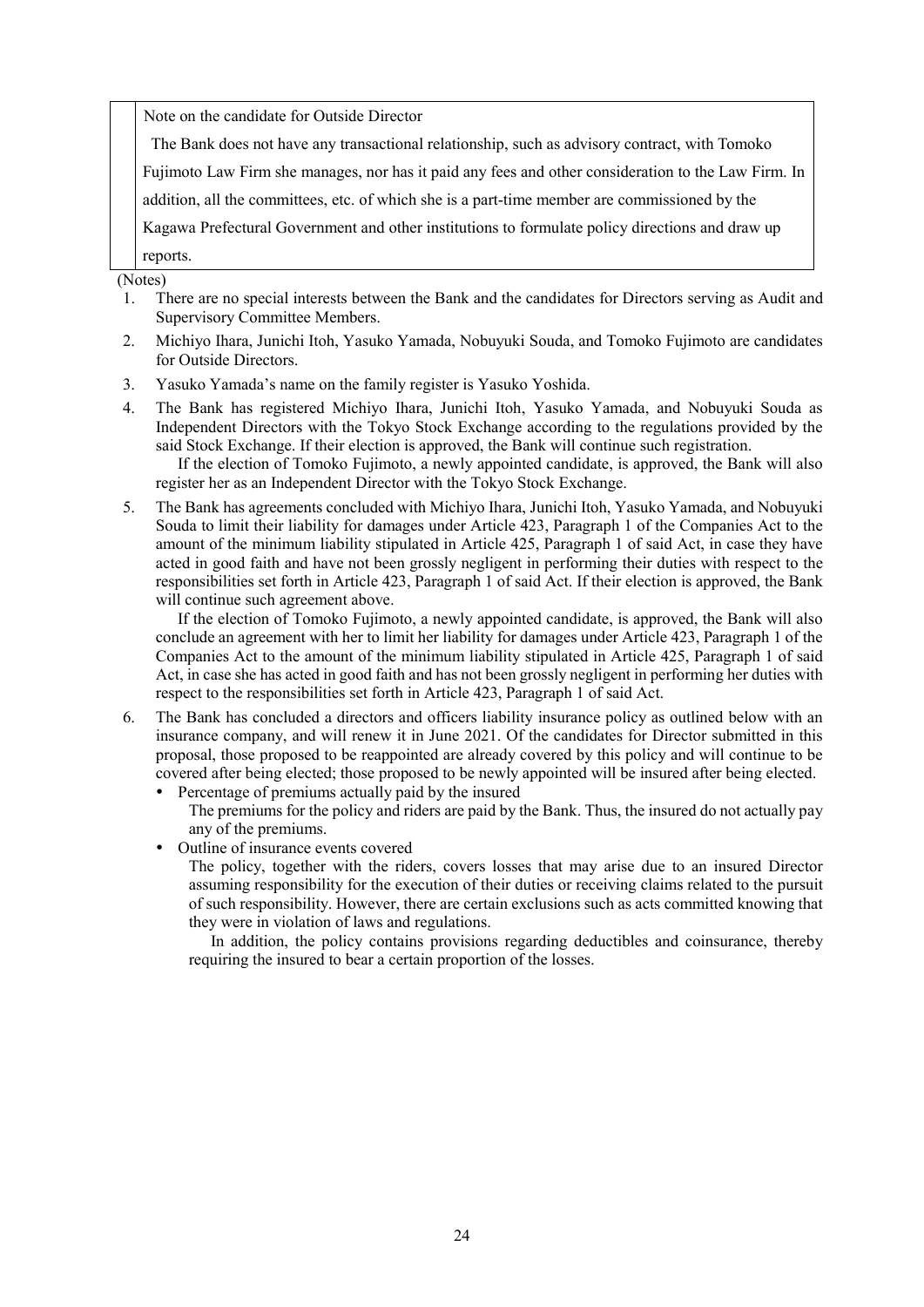Note on the candidate for Outside Director

The Bank does not have any transactional relationship, such as advisory contract, with Tomoko

Fujimoto Law Firm she manages, nor has it paid any fees and other consideration to the Law Firm. In

addition, all the committees, etc. of which she is a part-time member are commissioned by the

Kagawa Prefectural Government and other institutions to formulate policy directions and draw up

reports.

(Notes)

- 1. There are no special interests between the Bank and the candidates for Directors serving as Audit and Supervisory Committee Members.
- 2. Michiyo Ihara, Junichi Itoh, Yasuko Yamada, Nobuyuki Souda, and Tomoko Fujimoto are candidates for Outside Directors.
- 3. Yasuko Yamada's name on the family register is Yasuko Yoshida.
- 4. The Bank has registered Michiyo Ihara, Junichi Itoh, Yasuko Yamada, and Nobuyuki Souda as Independent Directors with the Tokyo Stock Exchange according to the regulations provided by the said Stock Exchange. If their election is approved, the Bank will continue such registration.

If the election of Tomoko Fujimoto, a newly appointed candidate, is approved, the Bank will also register her as an Independent Director with the Tokyo Stock Exchange.

5. The Bank has agreements concluded with Michiyo Ihara, Junichi Itoh, Yasuko Yamada, and Nobuyuki Souda to limit their liability for damages under Article 423, Paragraph 1 of the Companies Act to the amount of the minimum liability stipulated in Article 425, Paragraph 1 of said Act, in case they have acted in good faith and have not been grossly negligent in performing their duties with respect to the responsibilities set forth in Article 423, Paragraph 1 of said Act. If their election is approved, the Bank will continue such agreement above.

If the election of Tomoko Fujimoto, a newly appointed candidate, is approved, the Bank will also conclude an agreement with her to limit her liability for damages under Article 423, Paragraph 1 of the Companies Act to the amount of the minimum liability stipulated in Article 425, Paragraph 1 of said Act, in case she has acted in good faith and has not been grossly negligent in performing her duties with respect to the responsibilities set forth in Article 423, Paragraph 1 of said Act.

- 6. The Bank has concluded a directors and officers liability insurance policy as outlined below with an insurance company, and will renew it in June 2021. Of the candidates for Director submitted in this proposal, those proposed to be reappointed are already covered by this policy and will continue to be covered after being elected; those proposed to be newly appointed will be insured after being elected. Percentage of premiums actually paid by the insured
	- The premiums for the policy and riders are paid by the Bank. Thus, the insured do not actually pay any of the premiums.
	- Outline of insurance events covered

The policy, together with the riders, covers losses that may arise due to an insured Director assuming responsibility for the execution of their duties or receiving claims related to the pursuit of such responsibility. However, there are certain exclusions such as acts committed knowing that they were in violation of laws and regulations.

In addition, the policy contains provisions regarding deductibles and coinsurance, thereby requiring the insured to bear a certain proportion of the losses.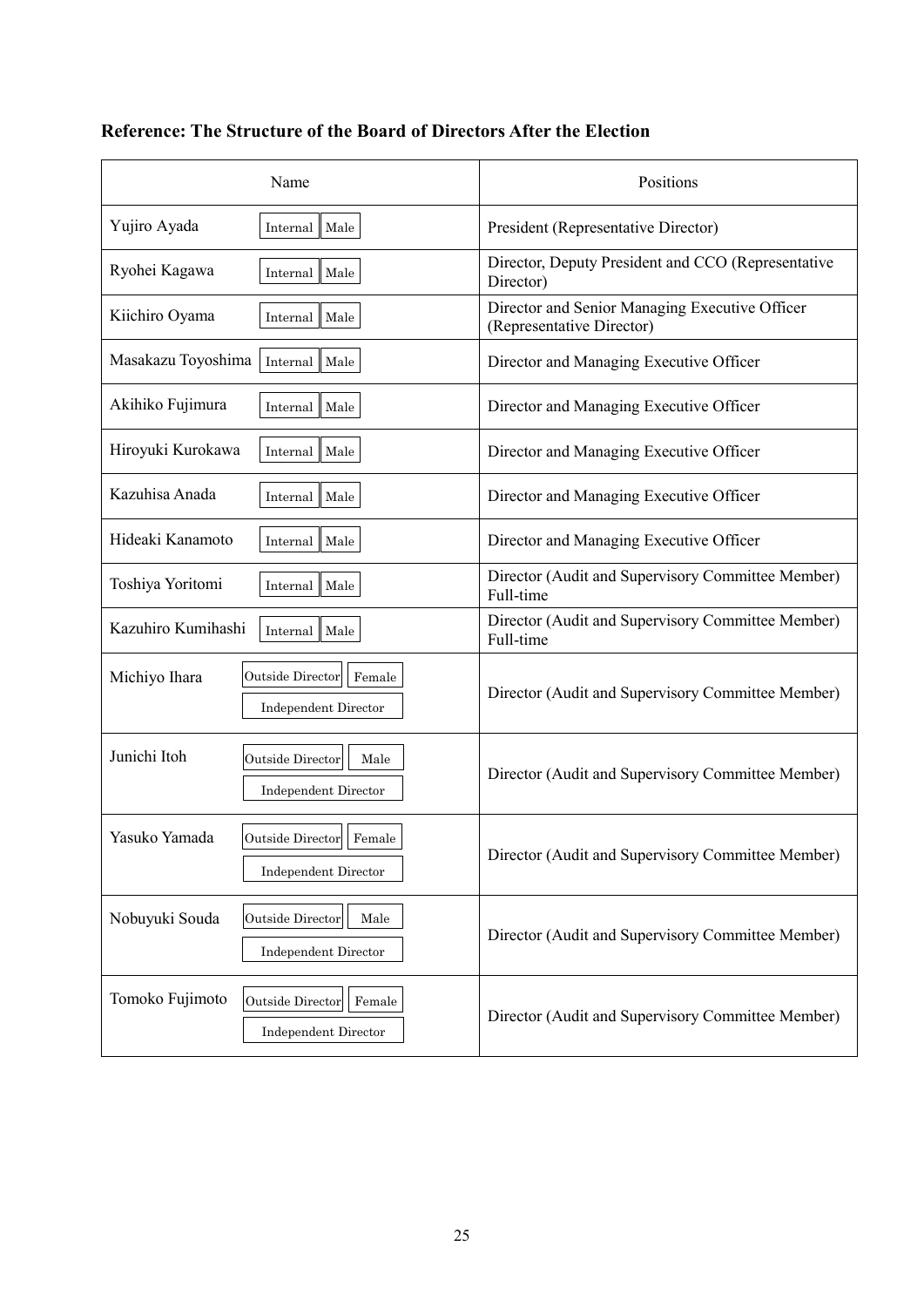| Name                                                                         | Positions                                                                   |
|------------------------------------------------------------------------------|-----------------------------------------------------------------------------|
| Yujiro Ayada<br>Male<br>Internal                                             | President (Representative Director)                                         |
| Ryohei Kagawa<br>Male<br>Internal                                            | Director, Deputy President and CCO (Representative<br>Director)             |
| Kiichiro Oyama<br>Internal   Male                                            | Director and Senior Managing Executive Officer<br>(Representative Director) |
| Masakazu Toyoshima<br>Male<br>Internal                                       | Director and Managing Executive Officer                                     |
| Akihiko Fujimura<br>Male<br>Internal                                         | Director and Managing Executive Officer                                     |
| Hiroyuki Kurokawa<br>Male<br>Internal                                        | Director and Managing Executive Officer                                     |
| Kazuhisa Anada<br>Male<br>Internal                                           | Director and Managing Executive Officer                                     |
| Hideaki Kanamoto<br>Internal   Male                                          | Director and Managing Executive Officer                                     |
| Toshiya Yoritomi<br>Male<br>Internal                                         | Director (Audit and Supervisory Committee Member)<br>Full-time              |
| Kazuhiro Kumihashi<br>Male<br>Internal                                       | Director (Audit and Supervisory Committee Member)<br>Full-time              |
| Outside Director<br>Michiyo Ihara<br>Female<br><b>Independent Director</b>   | Director (Audit and Supervisory Committee Member)                           |
| Junichi Itoh<br>Outside Director<br>Male<br><b>Independent Director</b>      | Director (Audit and Supervisory Committee Member)                           |
| Yasuko Yamada<br>Outside Director<br>Female<br><b>Independent Director</b>   | Director (Audit and Supervisory Committee Member)                           |
| Nobuyuki Souda<br>Outside Director<br>Male<br><b>Independent Director</b>    | Director (Audit and Supervisory Committee Member)                           |
| Tomoko Fujimoto<br>Outside Director<br>Female<br><b>Independent Director</b> | Director (Audit and Supervisory Committee Member)                           |

# **Reference: The Structure of the Board of Directors After the Election**